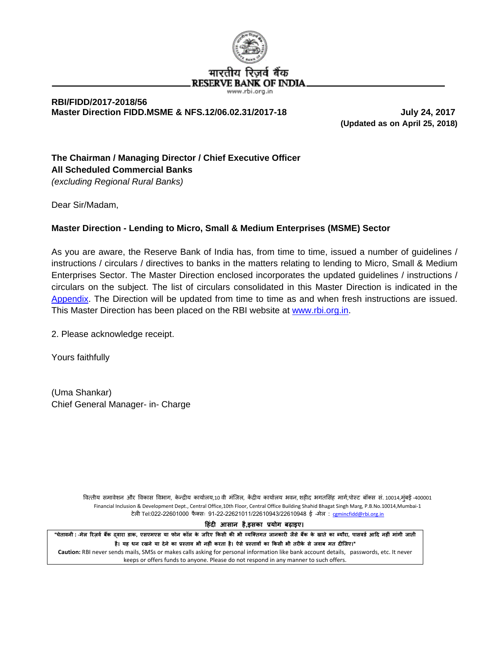

#### **RBI/FIDD/2017-2018/56 Master Direction FIDD.MSME & NFS.12/06.02.31/2017-18 July 24, 2017**

 **(Updated as on April 25, 2018)**

# **The Chairman / Managing Director / Chief Executive Officer All Scheduled Commercial Banks**

*(excluding Regional Rural Banks)*

Dear Sir/Madam,

# **Master Direction - Lending to Micro, Small & Medium Enterprises (MSME) Sector**

As you are aware, the Reserve Bank of India has, from time to time, issued a number of guidelines / instructions / circulars / directives to banks in the matters relating to lending to Micro, Small & Medium Enterprises Sector. The Master Direction enclosed incorporates the updated guidelines / instructions / circulars on the subject. The list of circulars consolidated in this Master Direction is indicated in the [Appendix.](#page-28-0) The Direction will be updated from time to time as and when fresh instructions are issued. This Master Direction has been placed on the RBI website at [www.rbi.org.in.](http://www.rbi.org.in/)

2. Please acknowledge receipt.

Yours faithfully

(Uma Shankar) Chief General Manager- in- Charge

> वित्तीय समावेशन और विकास विभाग, केन्द्रीय कार्यालय,10 वी मंजिल, केंद्रीय कार्यालय भवन, शहीद भगतसिंह मार्ग,पोस्ट बॉक्स सं. 10014,मुंबई -400001 Financial Inclusion & Development Dept., Central Office,10th Floor, Central Office Building Shahid Bhagat Singh Marg, P.B.No.10014,Mumbai-1 टेली Tel:022-22601000 फैक्सः 91-22-22621011/22610943/22610948 ई-मेल: [cgmincfidd@rbi.org.in](mailto:cgmincfidd@rbi.org.in)

> > **�हंद� आसान है,इसका प्रयोग बढ़ाइए।**

"चेतावनी : -मेल रिजर्व बैंक दवारा डाक, एसएमएस या फोन कॉल के जरिए किसी की भी व्यक्तिगत जानकारी जैसे बैंक के खाते का ब्यौरा, पासवर्ड आदि नहीं मांगी जाती है। यह धन रखने या देने का प्रस्ताव भी नहीं करता है। ऐसे प्रस्तावों का किसी भी तरीके से जवाब मत दीजिए।" **Caution:** RBI never sends mails, SMSs or makes calls asking for personal information like bank account details, passwords, etc. It never keeps or offers funds to anyone. Please do not respond in any manner to such offers.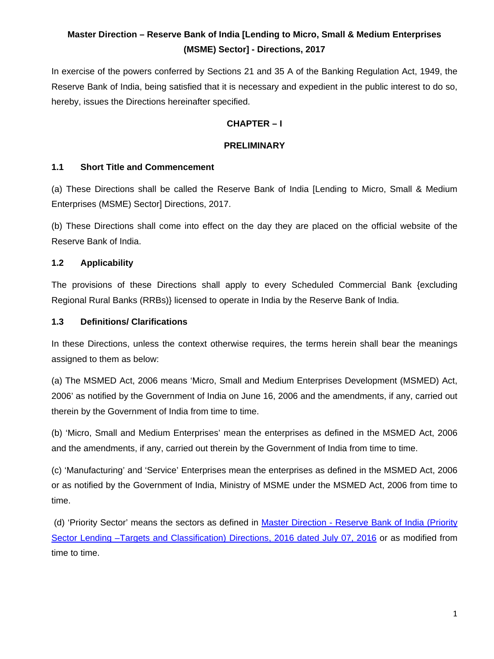# **Master Direction – Reserve Bank of India [Lending to Micro, Small & Medium Enterprises (MSME) Sector] - Directions, 2017**

In exercise of the powers conferred by Sections 21 and 35 A of the Banking Regulation Act, 1949, the Reserve Bank of India, being satisfied that it is necessary and expedient in the public interest to do so, hereby, issues the Directions hereinafter specified.

## **CHAPTER – I**

#### **PRELIMINARY**

#### **1.1 Short Title and Commencement**

(a) These Directions shall be called the Reserve Bank of India [Lending to Micro, Small & Medium Enterprises (MSME) Sector] Directions, 2017.

(b) These Directions shall come into effect on the day they are placed on the official website of the Reserve Bank of India.

## **1.2 Applicability**

The provisions of these Directions shall apply to every Scheduled Commercial Bank {excluding Regional Rural Banks (RRBs)} licensed to operate in India by the Reserve Bank of India.

## **1.3 Definitions/ Clarifications**

In these Directions, unless the context otherwise requires, the terms herein shall bear the meanings assigned to them as below:

(a) The MSMED Act, 2006 means 'Micro, Small and Medium Enterprises Development (MSMED) Act, 2006' as notified by the Government of India on June 16, 2006 and the amendments, if any, carried out therein by the Government of India from time to time.

(b) 'Micro, Small and Medium Enterprises' mean the enterprises as defined in the MSMED Act, 2006 and the amendments, if any, carried out therein by the Government of India from time to time.

(c) 'Manufacturing' and 'Service' Enterprises mean the enterprises as defined in the MSMED Act, 2006 or as notified by the Government of India, Ministry of MSME under the MSMED Act, 2006 from time to time.

(d) 'Priority Sector' means the sectors as defined in Master Direction - Reserve Bank of India (Priority Sector Lending -Targets and Classification) Directions, 2016 dated July 07, 2016 or as modified from time to time.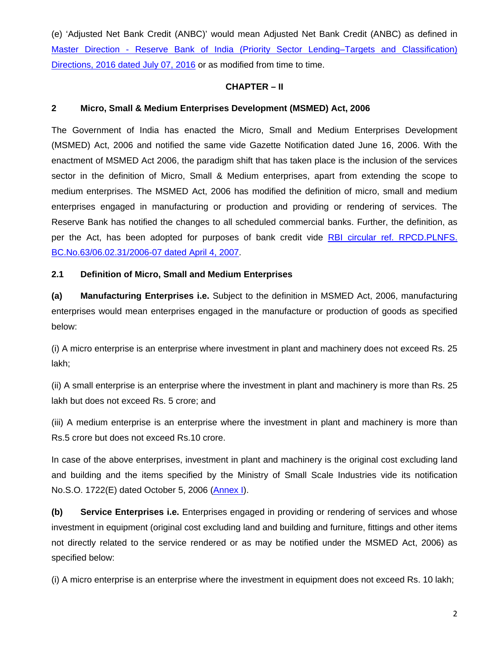(e) 'Adjusted Net Bank Credit (ANBC)' would mean Adjusted Net Bank Credit (ANBC) as defined in Master Direction - Reserve Bank of [India \(Priority Sector Lending–Targets and Classification\)](https://www.rbi.org.in/Scripts/NotificationUser.aspx?Id=10497&Mode=0)  [Directions, 2016 dated July 07, 2016](https://www.rbi.org.in/Scripts/NotificationUser.aspx?Id=10497&Mode=0) or as modified from time to time.

#### **CHAPTER – II**

#### **2 Micro, Small & Medium Enterprises Development (MSMED) Act, 2006**

The Government of India has enacted the Micro, Small and Medium Enterprises Development (MSMED) Act, 2006 and notified the same vide Gazette Notification dated June 16, 2006. With the enactment of MSMED Act 2006, the paradigm shift that has taken place is the inclusion of the services sector in the definition of Micro, Small & Medium enterprises, apart from extending the scope to medium enterprises. The MSMED Act, 2006 has modified the definition of micro, small and medium enterprises engaged in manufacturing or production and providing or rendering of services. The Reserve Bank has notified the changes to all scheduled commercial banks. Further, the definition, as per the Act, has been adopted for purposes of bank credit vide [RBI circular ref. RPCD.PLNFS.](https://www.rbi.org.in/Scripts/NotificationUser.aspx?Id=3391&Mode=0)  [BC.No.63/06.02.31/2006-07 dated April 4, 2007.](https://www.rbi.org.in/Scripts/NotificationUser.aspx?Id=3391&Mode=0)

#### **2.1 Definition of Micro, Small and Medium Enterprises**

**(a) Manufacturing Enterprises i.e.** Subject to the definition in MSMED Act, 2006, manufacturing enterprises would mean enterprises engaged in the manufacture or production of goods as specified below:

(i) A micro enterprise is an enterprise where investment in plant and machinery does not exceed Rs. 25 lakh;

(ii) A small enterprise is an enterprise where the investment in plant and machinery is more than Rs. 25 lakh but does not exceed Rs. 5 crore; and

(iii) A medium enterprise is an enterprise where the investment in plant and machinery is more than Rs.5 crore but does not exceed Rs.10 crore.

In case of the above enterprises, investment in plant and machinery is the original cost excluding land and building and the items specified by the Ministry of Small Scale Industries vide its notification No.S.O. 1722(E) dated October 5, 2006 [\(Annex I\)](#page-15-0).

**(b) Service Enterprises i.e.** Enterprises engaged in providing or rendering of services and whose investment in equipment (original cost excluding land and building and furniture, fittings and other items not directly related to the service rendered or as may be notified under the MSMED Act, 2006) as specified below:

(i) A micro enterprise is an enterprise where the investment in equipment does not exceed Rs. 10 lakh;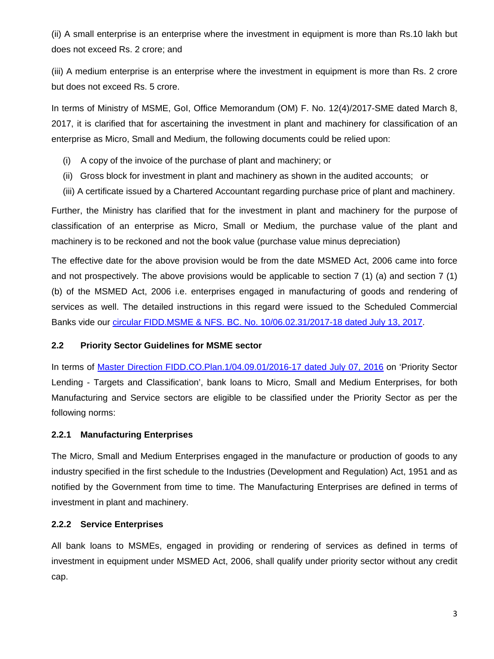(ii) A small enterprise is an enterprise where the investment in equipment is more than Rs.10 lakh but does not exceed Rs. 2 crore; and

(iii) A medium enterprise is an enterprise where the investment in equipment is more than Rs. 2 crore but does not exceed Rs. 5 crore.

In terms of Ministry of MSME, GoI, Office Memorandum (OM) F. No. 12(4)/2017-SME dated March 8, 2017, it is clarified that for ascertaining the investment in plant and machinery for classification of an enterprise as Micro, Small and Medium, the following documents could be relied upon:

- (i) A copy of the invoice of the purchase of plant and machinery; or
- (ii) Gross block for investment in plant and machinery as shown in the audited accounts; or
- (iii) A certificate issued by a Chartered Accountant regarding purchase price of plant and machinery.

Further, the Ministry has clarified that for the investment in plant and machinery for the purpose of classification of an enterprise as Micro, Small or Medium, the purchase value of the plant and machinery is to be reckoned and not the book value (purchase value minus depreciation)

The effective date for the above provision would be from the date MSMED Act, 2006 came into force and not prospectively. The above provisions would be applicable to section 7 (1) (a) and section 7 (1) (b) of the MSMED Act, 2006 i.e. enterprises engaged in manufacturing of goods and rendering of services as well. The detailed instructions in this regard were issued to the Scheduled Commercial Banks vide our [circular FIDD.MSME & NFS. BC. No. 10/06.02.31/2017-18 dated July 13, 2017.](https://www.rbi.org.in/scripts/NotificationUser.aspx?Id=11050&Mode=0)

## **2.2 Priority Sector Guidelines for MSME sector**

In terms of [Master Direction FIDD.CO.Plan.1/04.09.01/2016-17 dated July 07, 2016](https://www.rbi.org.in/Scripts/NotificationUser.aspx?Id=10497&Mode=0) on 'Priority Sector Lending - Targets and Classification', bank loans to Micro, Small and Medium Enterprises, for both Manufacturing and Service sectors are eligible to be classified under the Priority Sector as per the following norms:

## **2.2.1 Manufacturing Enterprises**

The Micro, Small and Medium Enterprises engaged in the manufacture or production of goods to any industry specified in the first schedule to the Industries (Development and Regulation) Act, 1951 and as notified by the Government from time to time. The Manufacturing Enterprises are defined in terms of investment in plant and machinery.

# **2.2.2 Service Enterprises**

All bank loans to MSMEs, engaged in providing or rendering of services as defined in terms of investment in equipment under MSMED Act, 2006, shall qualify under priority sector without any credit cap.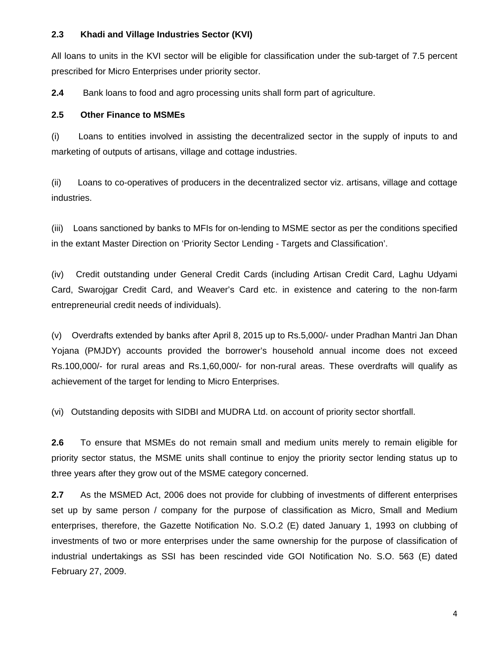## **2.3 Khadi and Village Industries Sector (KVI)**

All loans to units in the KVI sector will be eligible for classification under the sub-target of 7.5 percent prescribed for Micro Enterprises under priority sector.

**2.4** Bank loans to food and agro processing units shall form part of agriculture.

## **2.5 Other Finance to MSMEs**

(i) Loans to entities involved in assisting the decentralized sector in the supply of inputs to and marketing of outputs of artisans, village and cottage industries.

(ii) Loans to co-operatives of producers in the decentralized sector viz. artisans, village and cottage industries.

(iii) Loans sanctioned by banks to MFIs for on-lending to MSME sector as per the conditions specified in the extant Master Direction on 'Priority Sector Lending - Targets and Classification'.

(iv) Credit outstanding under General Credit Cards (including Artisan Credit Card, Laghu Udyami Card, Swarojgar Credit Card, and Weaver's Card etc. in existence and catering to the non-farm entrepreneurial credit needs of individuals).

(v) Overdrafts extended by banks after April 8, 2015 up to Rs.5,000/- under Pradhan Mantri Jan Dhan Yojana (PMJDY) accounts provided the borrower's household annual income does not exceed Rs.100,000/- for rural areas and Rs.1,60,000/- for non-rural areas. These overdrafts will qualify as achievement of the target for lending to Micro Enterprises.

(vi) Outstanding deposits with SIDBI and MUDRA Ltd. on account of priority sector shortfall.

**2.6** To ensure that MSMEs do not remain small and medium units merely to remain eligible for priority sector status, the MSME units shall continue to enjoy the priority sector lending status up to three years after they grow out of the MSME category concerned.

**2.7** As the MSMED Act, 2006 does not provide for clubbing of investments of different enterprises set up by same person / company for the purpose of classification as Micro, Small and Medium enterprises, therefore, the Gazette Notification No. S.O.2 (E) dated January 1, 1993 on clubbing of investments of two or more enterprises under the same ownership for the purpose of classification of industrial undertakings as SSI has been rescinded vide GOI Notification No. S.O. 563 (E) dated February 27, 2009.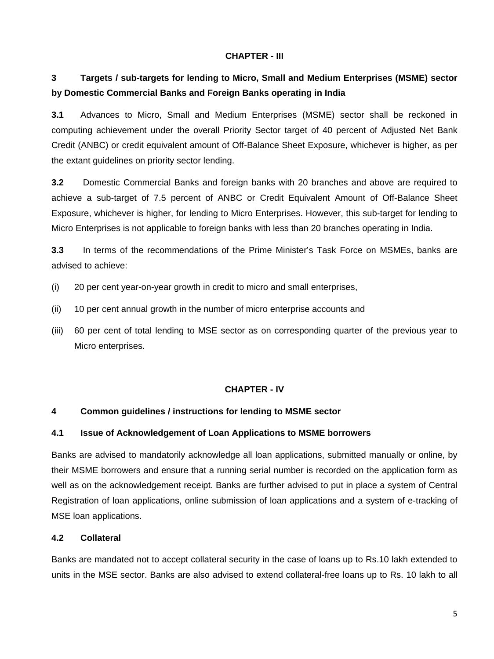#### **CHAPTER - III**

# **3 Targets / sub-targets for lending to Micro, Small and Medium Enterprises (MSME) sector by Domestic Commercial Banks and Foreign Banks operating in India**

**3.1** Advances to Micro, Small and Medium Enterprises (MSME) sector shall be reckoned in computing achievement under the overall Priority Sector target of 40 percent of Adjusted Net Bank Credit (ANBC) or credit equivalent amount of Off-Balance Sheet Exposure, whichever is higher, as per the extant guidelines on priority sector lending.

**3.2** Domestic Commercial Banks and foreign banks with 20 branches and above are required to achieve a sub-target of 7.5 percent of ANBC or Credit Equivalent Amount of Off-Balance Sheet Exposure, whichever is higher, for lending to Micro Enterprises. However, this sub-target for lending to Micro Enterprises is not applicable to foreign banks with less than 20 branches operating in India.

**3.3** In terms of the recommendations of the Prime Minister's Task Force on MSMEs, banks are advised to achieve:

- (i) 20 per cent year-on-year growth in credit to micro and small enterprises,
- (ii) 10 per cent annual growth in the number of micro enterprise accounts and
- (iii) 60 per cent of total lending to MSE sector as on corresponding quarter of the previous year to Micro enterprises.

#### **CHAPTER - IV**

#### **4 Common guidelines / instructions for lending to MSME sector**

#### **4.1 Issue of Acknowledgement of Loan Applications to MSME borrowers**

Banks are advised to mandatorily acknowledge all loan applications, submitted manually or online, by their MSME borrowers and ensure that a running serial number is recorded on the application form as well as on the acknowledgement receipt. Banks are further advised to put in place a system of Central Registration of loan applications, online submission of loan applications and a system of e-tracking of MSE loan applications.

# **4.2 Collateral**

Banks are mandated not to accept collateral security in the case of loans up to Rs.10 lakh extended to units in the MSE sector. Banks are also advised to extend collateral-free loans up to Rs. 10 lakh to all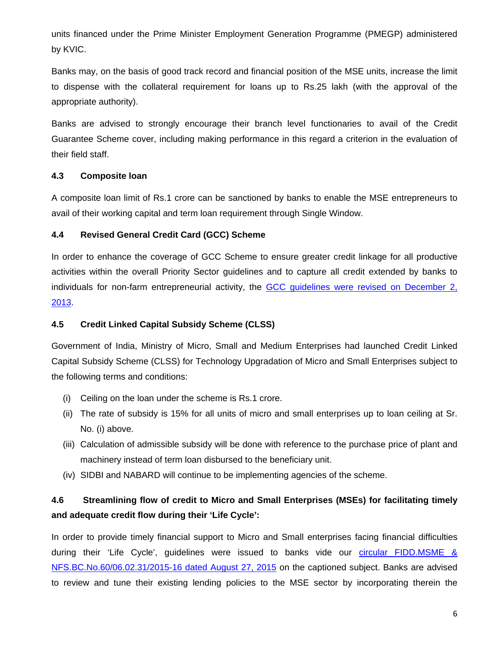units financed under the Prime Minister Employment Generation Programme (PMEGP) administered by KVIC.

Banks may, on the basis of good track record and financial position of the MSE units, increase the limit to dispense with the collateral requirement for loans up to Rs.25 lakh (with the approval of the appropriate authority).

Banks are advised to strongly encourage their branch level functionaries to avail of the Credit Guarantee Scheme cover, including making performance in this regard a criterion in the evaluation of their field staff.

# **4.3 Composite loan**

A composite loan limit of Rs.1 crore can be sanctioned by banks to enable the MSE entrepreneurs to avail of their working capital and term loan requirement through Single Window.

# **4.4 Revised General Credit Card (GCC) Scheme**

In order to enhance the coverage of GCC Scheme to ensure greater credit linkage for all productive activities within the overall Priority Sector guidelines and to capture all credit extended by banks to individuals for non-farm entrepreneurial activity, the [GCC guidelines were revised on December 2,](https://www.rbi.org.in/Scripts/NotificationUser.aspx?Id=8603&Mode=0#an)  [2013.](https://www.rbi.org.in/Scripts/NotificationUser.aspx?Id=8603&Mode=0#an)

# **4.5 Credit Linked Capital Subsidy Scheme (CLSS)**

Government of India, Ministry of Micro, Small and Medium Enterprises had launched Credit Linked Capital Subsidy Scheme (CLSS) for Technology Upgradation of Micro and Small Enterprises subject to the following terms and conditions:

- (i) Ceiling on the loan under the scheme is Rs.1 crore.
- (ii) The rate of subsidy is 15% for all units of micro and small enterprises up to loan ceiling at Sr. No. (i) above.
- (iii) Calculation of admissible subsidy will be done with reference to the purchase price of plant and machinery instead of term loan disbursed to the beneficiary unit.
- (iv) SIDBI and NABARD will continue to be implementing agencies of the scheme.

# **4.6 Streamlining flow of credit to Micro and Small Enterprises (MSEs) for facilitating timely and adequate credit flow during their 'Life Cycle':**

In order to provide timely financial support to Micro and Small enterprises facing financial difficulties during their 'Life Cycle', guidelines were issued to banks vide our *circular FIDD.MSME &* [NFS.BC.No.60/06.02.31/2015-16 dated August 27, 2015](https://www.rbi.org.in/Scripts/NotificationUser.aspx?Id=10000&Mode=0) on the captioned subject. Banks are advised to review and tune their existing lending policies to the MSE sector by incorporating therein the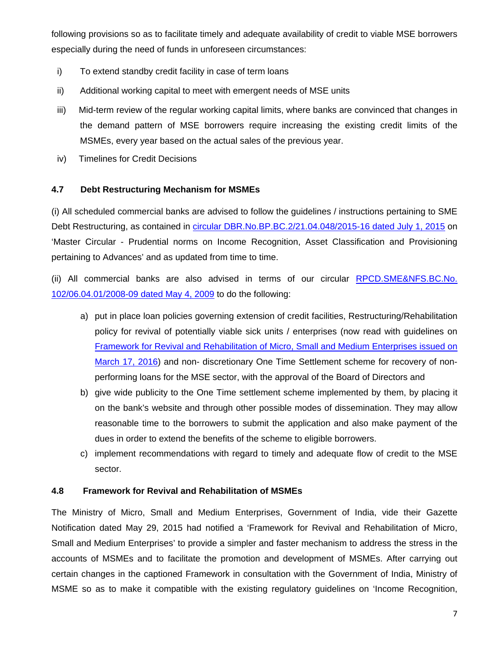following provisions so as to facilitate timely and adequate availability of credit to viable MSE borrowers especially during the need of funds in unforeseen circumstances:

- i) To extend standby credit facility in case of term loans
- ii) Additional working capital to meet with emergent needs of MSE units
- iii) Mid-term review of the regular working capital limits, where banks are convinced that changes in the demand pattern of MSE borrowers require increasing the existing credit limits of the MSMEs, every year based on the actual sales of the previous year.
- iv) Timelines for Credit Decisions

# **4.7 Debt Restructuring Mechanism for MSMEs**

(i) All scheduled commercial banks are advised to follow the guidelines / instructions pertaining to SME Debt Restructuring, as contained in [circular DBR.No.BP.BC.2/21.04.048/2015-16 dated July 1, 2015](https://www.rbi.org.in/Scripts/NotificationUser.aspx?Id=9908&Mode=0) on 'Master Circular - Prudential norms on Income Recognition, Asset Classification and Provisioning pertaining to Advances' and as updated from time to time.

(ii) All commercial banks are also advised in terms of our circular [RPCD.SME&NFS.BC.No.](https://www.rbi.org.in/Scripts/NotificationUser.aspx?Id=4964&Mode=0)  [102/06.04.01/2008-09 dated May 4, 2009](https://www.rbi.org.in/Scripts/NotificationUser.aspx?Id=4964&Mode=0) to do the following:

- a) put in place loan policies governing extension of credit facilities, Restructuring/Rehabilitation policy for revival of potentially viable sick units / enterprises (now read with guidelines on [Framework for Revival and Rehabilitation of Micro, Small and Medium Enterprises issued on](https://www.rbi.org.in/Scripts/NotificationUser.aspx?Id=10304&Mode=0#AN)  [March 17, 2016\)](https://www.rbi.org.in/Scripts/NotificationUser.aspx?Id=10304&Mode=0#AN) and non- discretionary One Time Settlement scheme for recovery of nonperforming loans for the MSE sector, with the approval of the Board of Directors and
- b) give wide publicity to the One Time settlement scheme implemented by them, by placing it on the bank's website and through other possible modes of dissemination. They may allow reasonable time to the borrowers to submit the application and also make payment of the dues in order to extend the benefits of the scheme to eligible borrowers.
- c) implement recommendations with regard to timely and adequate flow of credit to the MSE sector.

## **4.8 Framework for Revival and Rehabilitation of MSMEs**

The Ministry of Micro, Small and Medium Enterprises, Government of India, vide their Gazette Notification dated May 29, 2015 had notified a 'Framework for Revival and Rehabilitation of Micro, Small and Medium Enterprises' to provide a simpler and faster mechanism to address the stress in the accounts of MSMEs and to facilitate the promotion and development of MSMEs. After carrying out certain changes in the captioned Framework in consultation with the Government of India, Ministry of MSME so as to make it compatible with the existing regulatory guidelines on 'Income Recognition,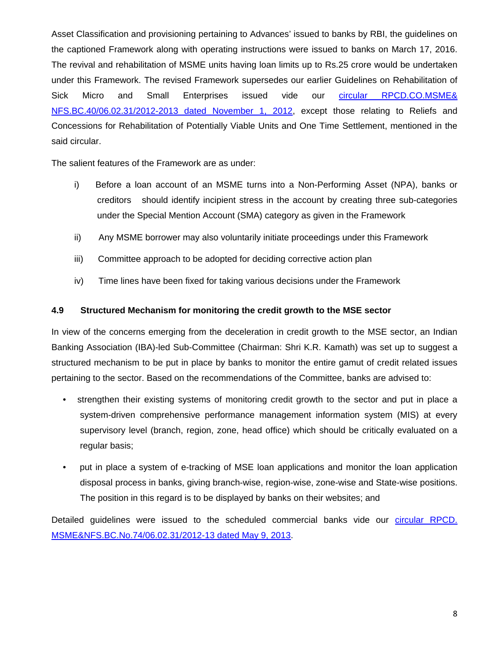Asset Classification and provisioning pertaining to Advances' issued to banks by RBI, the guidelines on the captioned Framework along with operating instructions were issued to banks on March 17, 2016. The revival and rehabilitation of MSME units having loan limits up to Rs.25 crore would be undertaken under this Framework. The revised Framework supersedes our earlier Guidelines on Rehabilitation of Sick Micro and Small Enterprises issued vide our [circular RPCD.CO.MSME&](https://www.rbi.org.in/Scripts/NotificationUser.aspx?Id=7664&Mode=0)  [NFS.BC.40/06.02.31/2012-2013 dated November 1, 2012,](https://www.rbi.org.in/Scripts/NotificationUser.aspx?Id=7664&Mode=0) except those relating to Reliefs and Concessions for Rehabilitation of Potentially Viable Units and One Time Settlement, mentioned in the said circular.

The salient features of the Framework are as under:

- i) Before a loan account of an MSME turns into a Non-Performing Asset (NPA), banks or creditors should identify incipient stress in the account by creating three sub-categories under the Special Mention Account (SMA) category as given in the Framework
- ii) Any MSME borrower may also voluntarily initiate proceedings under this Framework
- iii) Committee approach to be adopted for deciding corrective action plan
- iv) Time lines have been fixed for taking various decisions under the Framework

## **4.9 Structured Mechanism for monitoring the credit growth to the MSE sector**

In view of the concerns emerging from the deceleration in credit growth to the MSE sector, an Indian Banking Association (IBA)-led Sub-Committee (Chairman: Shri K.R. Kamath) was set up to suggest a structured mechanism to be put in place by banks to monitor the entire gamut of credit related issues pertaining to the sector. Based on the recommendations of the Committee, banks are advised to:

- strengthen their existing systems of monitoring credit growth to the sector and put in place a system-driven comprehensive performance management information system (MIS) at every supervisory level (branch, region, zone, head office) which should be critically evaluated on a regular basis;
- put in place a system of e-tracking of MSE loan applications and monitor the loan application disposal process in banks, giving branch-wise, region-wise, zone-wise and State-wise positions. The position in this regard is to be displayed by banks on their websites; and

Detailed guidelines were issued to the scheduled commercial banks vide our [circular RPCD.](https://www.rbi.org.in/Scripts/NotificationUser.aspx?Id=7973&Mode=0)  [MSME&NFS.BC.No.74/06.02.31/2012-13 dated May 9, 2013.](https://www.rbi.org.in/Scripts/NotificationUser.aspx?Id=7973&Mode=0)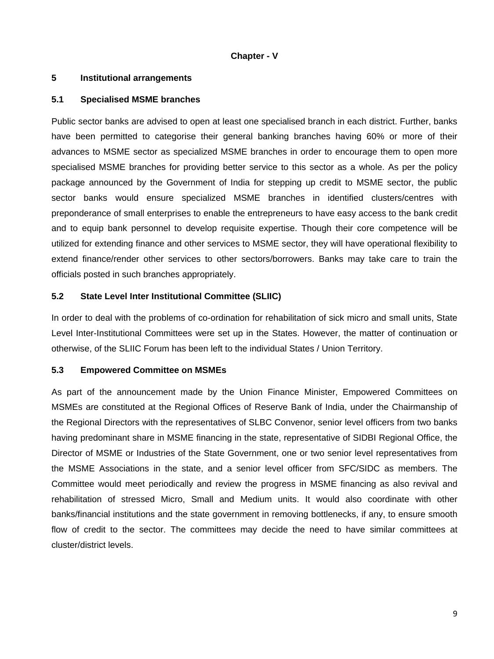#### **Chapter - V**

#### **5 Institutional arrangements**

#### **5.1 Specialised MSME branches**

Public sector banks are advised to open at least one specialised branch in each district. Further, banks have been permitted to categorise their general banking branches having 60% or more of their advances to MSME sector as specialized MSME branches in order to encourage them to open more specialised MSME branches for providing better service to this sector as a whole. As per the policy package announced by the Government of India for stepping up credit to MSME sector, the public sector banks would ensure specialized MSME branches in identified clusters/centres with preponderance of small enterprises to enable the entrepreneurs to have easy access to the bank credit and to equip bank personnel to develop requisite expertise. Though their core competence will be utilized for extending finance and other services to MSME sector, they will have operational flexibility to extend finance/render other services to other sectors/borrowers. Banks may take care to train the officials posted in such branches appropriately.

## **5.2 State Level Inter Institutional Committee (SLIIC)**

In order to deal with the problems of co-ordination for rehabilitation of sick micro and small units, State Level Inter-Institutional Committees were set up in the States. However, the matter of continuation or otherwise, of the SLIIC Forum has been left to the individual States / Union Territory.

## **5.3 Empowered Committee on MSMEs**

As part of the announcement made by the Union Finance Minister, Empowered Committees on MSMEs are constituted at the Regional Offices of Reserve Bank of India, under the Chairmanship of the Regional Directors with the representatives of SLBC Convenor, senior level officers from two banks having predominant share in MSME financing in the state, representative of SIDBI Regional Office, the Director of MSME or Industries of the State Government, one or two senior level representatives from the MSME Associations in the state, and a senior level officer from SFC/SIDC as members. The Committee would meet periodically and review the progress in MSME financing as also revival and rehabilitation of stressed Micro, Small and Medium units. It would also coordinate with other banks/financial institutions and the state government in removing bottlenecks, if any, to ensure smooth flow of credit to the sector. The committees may decide the need to have similar committees at cluster/district levels.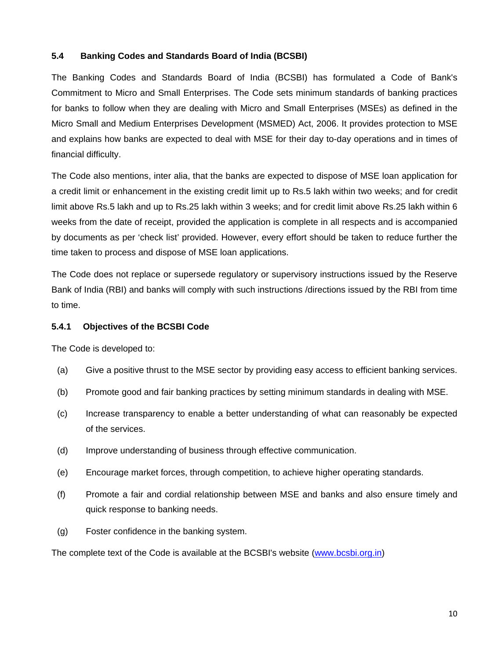## **5.4 Banking Codes and Standards Board of India (BCSBI)**

The Banking Codes and Standards Board of India (BCSBI) has formulated a Code of Bank's Commitment to Micro and Small Enterprises. The Code sets minimum standards of banking practices for banks to follow when they are dealing with Micro and Small Enterprises (MSEs) as defined in the Micro Small and Medium Enterprises Development (MSMED) Act, 2006. It provides protection to MSE and explains how banks are expected to deal with MSE for their day to-day operations and in times of financial difficulty.

The Code also mentions, inter alia, that the banks are expected to dispose of MSE loan application for a credit limit or enhancement in the existing credit limit up to Rs.5 lakh within two weeks; and for credit limit above Rs.5 lakh and up to Rs.25 lakh within 3 weeks; and for credit limit above Rs.25 lakh within 6 weeks from the date of receipt, provided the application is complete in all respects and is accompanied by documents as per 'check list' provided. However, every effort should be taken to reduce further the time taken to process and dispose of MSE loan applications.

The Code does not replace or supersede regulatory or supervisory instructions issued by the Reserve Bank of India (RBI) and banks will comply with such instructions /directions issued by the RBI from time to time.

## **5.4.1 Objectives of the BCSBI Code**

The Code is developed to:

- (a) Give a positive thrust to the MSE sector by providing easy access to efficient banking services.
- (b) Promote good and fair banking practices by setting minimum standards in dealing with MSE.
- (c) Increase transparency to enable a better understanding of what can reasonably be expected of the services.
- (d) Improve understanding of business through effective communication.
- (e) Encourage market forces, through competition, to achieve higher operating standards.
- (f) Promote a fair and cordial relationship between MSE and banks and also ensure timely and quick response to banking needs.
- (g) Foster confidence in the banking system.

The complete text of the Code is available at the BCSBI's website (www.bcsbi.org.in)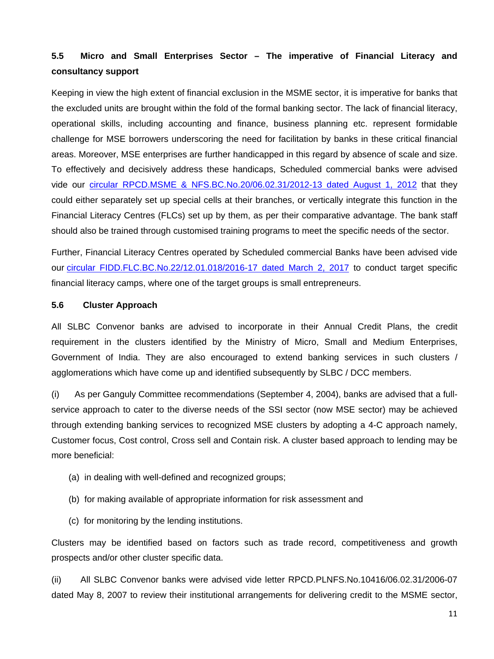# **5.5 Micro and Small Enterprises Sector – The imperative of Financial Literacy and consultancy support**

Keeping in view the high extent of financial exclusion in the MSME sector, it is imperative for banks that the excluded units are brought within the fold of the formal banking sector. The lack of financial literacy, operational skills, including accounting and finance, business planning etc. represent formidable challenge for MSE borrowers underscoring the need for facilitation by banks in these critical financial areas. Moreover, MSE enterprises are further handicapped in this regard by absence of scale and size. To effectively and decisively address these handicaps, Scheduled commercial banks were advised vide our [circular RPCD.MSME & NFS.BC.No.20/06.02.31/2012-13 dated August 1, 2012](https://www.rbi.org.in/Scripts/NotificationUser.aspx?Id=7488&Mode=0) that they could either separately set up special cells at their branches, or vertically integrate this function in the Financial Literacy Centres (FLCs) set up by them, as per their comparative advantage. The bank staff should also be trained through customised training programs to meet the specific needs of the sector.

Further, Financial Literacy Centres operated by Scheduled commercial Banks have been advised vide our circular [FIDD.FLC.BC.No.22/12.01.018/2016-17 dated](https://www.rbi.org.in/Scripts/NotificationUser.aspx?Id=10869&Mode=0) March 2, 2017 to conduct target specific financial literacy camps, where one of the target groups is small entrepreneurs.

## **5.6 Cluster Approach**

All SLBC Convenor banks are advised to incorporate in their Annual Credit Plans, the credit requirement in the clusters identified by the Ministry of Micro, Small and Medium Enterprises, Government of India. They are also encouraged to extend banking services in such clusters / agglomerations which have come up and identified subsequently by SLBC / DCC members.

(i) As per Ganguly Committee recommendations (September 4, 2004), banks are advised that a fullservice approach to cater to the diverse needs of the SSI sector (now MSE sector) may be achieved through extending banking services to recognized MSE clusters by adopting a 4-C approach namely, Customer focus, Cost control, Cross sell and Contain risk. A cluster based approach to lending may be more beneficial:

- (a) in dealing with well-defined and recognized groups;
- (b) for making available of appropriate information for risk assessment and
- (c) for monitoring by the lending institutions.

Clusters may be identified based on factors such as trade record, competitiveness and growth prospects and/or other cluster specific data.

(ii) All SLBC Convenor banks were advised vide letter RPCD.PLNFS.No.10416/06.02.31/2006-07 dated May 8, 2007 to review their institutional arrangements for delivering credit to the MSME sector,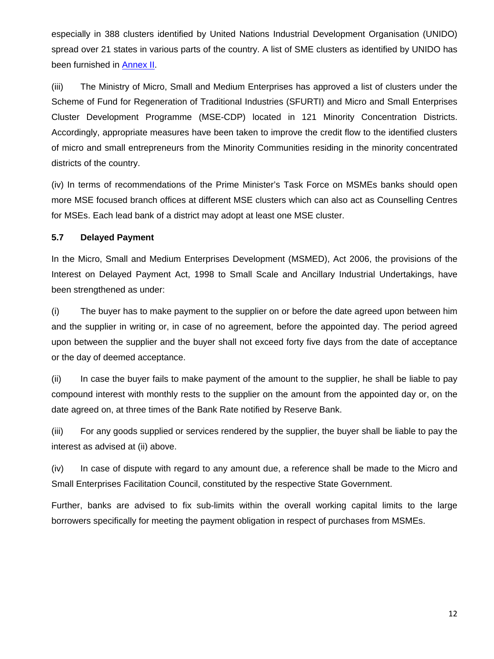especially in 388 clusters identified by United Nations Industrial Development Organisation (UNIDO) spread over 21 states in various parts of the country. A list of SME clusters as identified by UNIDO has been furnished in [Annex II.](#page-16-0)

(iii) The Ministry of Micro, Small and Medium Enterprises has approved a list of clusters under the Scheme of Fund for Regeneration of Traditional Industries (SFURTI) and Micro and Small Enterprises Cluster Development Programme (MSE-CDP) located in 121 Minority Concentration Districts. Accordingly, appropriate measures have been taken to improve the credit flow to the identified clusters of micro and small entrepreneurs from the Minority Communities residing in the minority concentrated districts of the country.

(iv) In terms of recommendations of the Prime Minister's Task Force on MSMEs banks should open more MSE focused branch offices at different MSE clusters which can also act as Counselling Centres for MSEs. Each lead bank of a district may adopt at least one MSE cluster.

## **5.7 Delayed Payment**

In the Micro, Small and Medium Enterprises Development (MSMED), Act 2006, the provisions of the Interest on Delayed Payment Act, 1998 to Small Scale and Ancillary Industrial Undertakings, have been strengthened as under:

(i) The buyer has to make payment to the supplier on or before the date agreed upon between him and the supplier in writing or, in case of no agreement, before the appointed day. The period agreed upon between the supplier and the buyer shall not exceed forty five days from the date of acceptance or the day of deemed acceptance.

(ii) In case the buyer fails to make payment of the amount to the supplier, he shall be liable to pay compound interest with monthly rests to the supplier on the amount from the appointed day or, on the date agreed on, at three times of the Bank Rate notified by Reserve Bank.

(iii) For any goods supplied or services rendered by the supplier, the buyer shall be liable to pay the interest as advised at (ii) above.

(iv) In case of dispute with regard to any amount due, a reference shall be made to the Micro and Small Enterprises Facilitation Council, constituted by the respective State Government.

Further, banks are advised to fix sub-limits within the overall working capital limits to the large borrowers specifically for meeting the payment obligation in respect of purchases from MSMEs.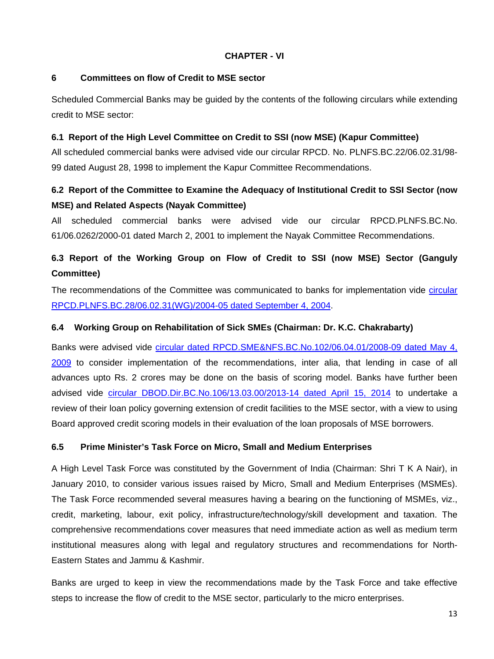#### **CHAPTER - VI**

## **6 Committees on flow of Credit to MSE sector**

Scheduled Commercial Banks may be guided by the contents of the following circulars while extending credit to MSE sector:

#### **6.1 Report of the High Level Committee on Credit to SSI (now MSE) (Kapur Committee)**

All scheduled commercial banks were advised vide our circular RPCD. No. PLNFS.BC.22/06.02.31/98- 99 dated August 28, 1998 to implement the Kapur Committee Recommendations.

# **6.2 Report of the Committee to Examine the Adequacy of Institutional Credit to SSI Sector (now MSE) and Related Aspects (Nayak Committee)**

All scheduled commercial banks were advised vide our circular RPCD.PLNFS.BC.No. 61/06.0262/2000-01 dated March 2, 2001 to implement the Nayak Committee Recommendations.

# **6.3 Report of the Working Group on Flow of Credit to SSI (now MSE) Sector (Ganguly Committee)**

The recommendations of the Committee was communicated to banks for implementation vide circular [RPCD.PLNFS.BC.28/06.02.31\(WG\)/2004-05 dated September 4, 2004.](https://www.rbi.org.in/scripts/NotificationUser.aspx?Id=1889&Mode=0)

## **6.4 Working Group on Rehabilitation of Sick SMEs (Chairman: Dr. K.C. Chakrabarty)**

Banks were advised vide [circular dated RPCD.SME&NFS.BC.No.102/06.04.01/2008-09 dated May 4,](https://www.rbi.org.in/scripts/NotificationUser.aspx?Id=4964&Mode=0)  [2009](https://www.rbi.org.in/scripts/NotificationUser.aspx?Id=4964&Mode=0) to consider implementation of the recommendations, inter alia, that lending in case of all advances upto Rs. 2 crores may be done on the basis of scoring model. Banks have further been advised vide [circular DBOD.Dir.BC.No.106/13.03.00/2013-14 dated April 15, 2014](https://www.rbi.org.in/scripts/NotificationUser.aspx?Id=8840&Mode=0) to undertake a review of their loan policy governing extension of credit facilities to the MSE sector, with a view to using Board approved credit scoring models in their evaluation of the loan proposals of MSE borrowers.

## **6.5 Prime Minister's Task Force on Micro, Small and Medium Enterprises**

A High Level Task Force was constituted by the Government of India (Chairman: Shri T K A Nair), in January 2010, to consider various issues raised by Micro, Small and Medium Enterprises (MSMEs). The Task Force recommended several measures having a bearing on the functioning of MSMEs, viz., credit, marketing, labour, exit policy, infrastructure/technology/skill development and taxation. The comprehensive recommendations cover measures that need immediate action as well as medium term institutional measures along with legal and regulatory structures and recommendations for North-Eastern States and Jammu & Kashmir.

Banks are urged to keep in view the recommendations made by the Task Force and take effective steps to increase the flow of credit to the MSE sector, particularly to the micro enterprises.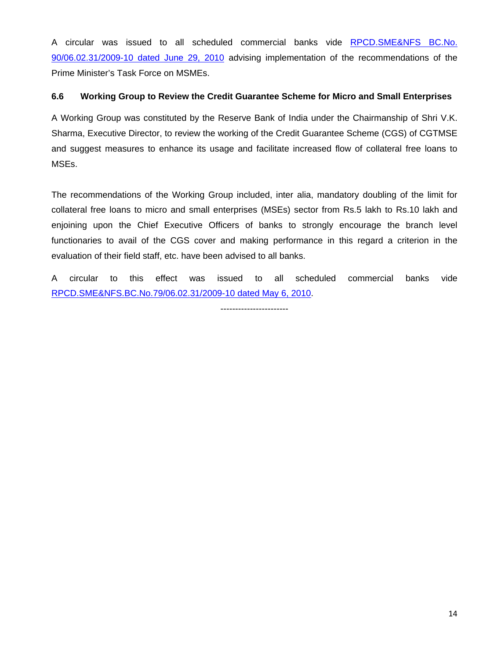A circular was issued to all scheduled commercial banks vide [RPCD.SME&NFS BC.No.](https://www.rbi.org.in/scripts/NotificationUser.aspx?Id=5751&Mode=0)  [90/06.02.31/2009-10 dated June 29, 2010](https://www.rbi.org.in/scripts/NotificationUser.aspx?Id=5751&Mode=0) advising implementation of the recommendations of the Prime Minister's Task Force on MSMEs.

## **6.6 Working Group to Review the Credit Guarantee Scheme for Micro and Small Enterprises**

A Working Group was constituted by the Reserve Bank of India under the Chairmanship of Shri V.K. Sharma, Executive Director, to review the working of the Credit Guarantee Scheme (CGS) of CGTMSE and suggest measures to enhance its usage and facilitate increased flow of collateral free loans to MSEs.

The recommendations of the Working Group included, inter alia, mandatory doubling of the limit for collateral free loans to micro and small enterprises (MSEs) sector from Rs.5 lakh to Rs.10 lakh and enjoining upon the Chief Executive Officers of banks to strongly encourage the branch level functionaries to avail of the CGS cover and making performance in this regard a criterion in the evaluation of their field staff, etc. have been advised to all banks.

A circular to this effect was issued to all scheduled commercial banks vide [RPCD.SME&NFS.BC.No.79/06.02.31/2009-10 dated May 6, 2010.](https://www.rbi.org.in/scripts/NotificationUser.aspx?Id=5657&Mode=0)

-----------------------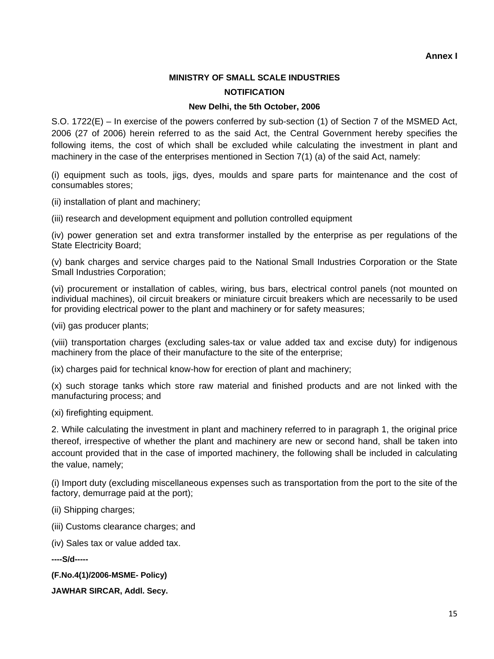# **MINISTRY OF SMALL SCALE INDUSTRIES**

#### **NOTIFICATION**

#### **New Delhi, the 5th October, 2006**

<span id="page-15-0"></span>S.O. 1722(E) – In exercise of the powers conferred by sub-section (1) of Section 7 of the MSMED Act, 2006 (27 of 2006) herein referred to as the said Act, the Central Government hereby specifies the following items, the cost of which shall be excluded while calculating the investment in plant and machinery in the case of the enterprises mentioned in Section 7(1) (a) of the said Act, namely:

(i) equipment such as tools, jigs, dyes, moulds and spare parts for maintenance and the cost of consumables stores;

(ii) installation of plant and machinery;

(iii) research and development equipment and pollution controlled equipment

(iv) power generation set and extra transformer installed by the enterprise as per regulations of the State Electricity Board;

(v) bank charges and service charges paid to the National Small Industries Corporation or the State Small Industries Corporation;

(vi) procurement or installation of cables, wiring, bus bars, electrical control panels (not mounted on individual machines), oil circuit breakers or miniature circuit breakers which are necessarily to be used for providing electrical power to the plant and machinery or for safety measures;

(vii) gas producer plants;

(viii) transportation charges (excluding sales-tax or value added tax and excise duty) for indigenous machinery from the place of their manufacture to the site of the enterprise;

(ix) charges paid for technical know-how for erection of plant and machinery;

(x) such storage tanks which store raw material and finished products and are not linked with the manufacturing process; and

(xi) firefighting equipment.

2. While calculating the investment in plant and machinery referred to in paragraph 1, the original price thereof, irrespective of whether the plant and machinery are new or second hand, shall be taken into account provided that in the case of imported machinery, the following shall be included in calculating the value, namely;

(i) Import duty (excluding miscellaneous expenses such as transportation from the port to the site of the factory, demurrage paid at the port);

(ii) Shipping charges;

(iii) Customs clearance charges; and

(iv) Sales tax or value added tax.

**----S/d-----**

**(F.No.4(1)/2006-MSME- Policy)** 

**JAWHAR SIRCAR, Addl. Secy.**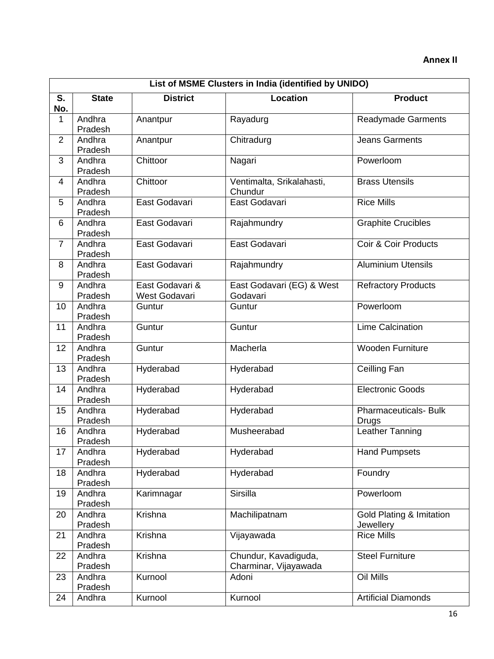# **Annex II**

<span id="page-16-0"></span>

|                | List of MSME Clusters in India (identified by UNIDO) |                                  |                                               |                                       |  |  |
|----------------|------------------------------------------------------|----------------------------------|-----------------------------------------------|---------------------------------------|--|--|
| S.<br>No.      | <b>State</b>                                         | <b>District</b>                  | <b>Location</b>                               | <b>Product</b>                        |  |  |
| 1              | Andhra<br>Pradesh                                    | Anantpur                         | Rayadurg                                      | <b>Readymade Garments</b>             |  |  |
| $\overline{2}$ | Andhra<br>Pradesh                                    | Anantpur                         | Chitradurg                                    | <b>Jeans Garments</b>                 |  |  |
| 3              | Andhra<br>Pradesh                                    | Chittoor                         | Nagari                                        | Powerloom                             |  |  |
| $\overline{4}$ | Andhra<br>Pradesh                                    | Chittoor                         | Ventimalta, Srikalahasti,<br>Chundur          | <b>Brass Utensils</b>                 |  |  |
| 5              | Andhra<br>Pradesh                                    | East Godavari                    | East Godavari                                 | <b>Rice Mills</b>                     |  |  |
| 6              | Andhra<br>Pradesh                                    | East Godavari                    | Rajahmundry                                   | <b>Graphite Crucibles</b>             |  |  |
| $\overline{7}$ | Andhra<br>Pradesh                                    | East Godavari                    | East Godavari                                 | Coir & Coir Products                  |  |  |
| 8              | Andhra<br>Pradesh                                    | East Godavari                    | Rajahmundry                                   | <b>Aluminium Utensils</b>             |  |  |
| 9              | Andhra<br>Pradesh                                    | East Godavari &<br>West Godavari | East Godavari (EG) & West<br>Godavari         | Refractory Products                   |  |  |
| 10             | Andhra<br>Pradesh                                    | Guntur                           | Guntur                                        | Powerloom                             |  |  |
| 11             | Andhra<br>Pradesh                                    | Guntur                           | Guntur                                        | <b>Lime Calcination</b>               |  |  |
| 12             | Andhra<br>Pradesh                                    | Guntur                           | Macherla                                      | <b>Wooden Furniture</b>               |  |  |
| 13             | Andhra<br>Pradesh                                    | Hyderabad                        | Hyderabad                                     | Ceilling Fan                          |  |  |
| 14             | Andhra<br>Pradesh                                    | Hyderabad                        | Hyderabad                                     | <b>Electronic Goods</b>               |  |  |
| 15             | Andhra<br>Pradesh                                    | Hyderabad                        | Hyderabad                                     | <b>Pharmaceuticals-Bulk</b><br>Drugs  |  |  |
| 16             | Andhra<br>Pradesh                                    | Hyderabad                        | Musheerabad                                   | Leather Tanning                       |  |  |
| 17             | Andhra<br>Pradesh                                    | Hyderabad                        | Hyderabad                                     | <b>Hand Pumpsets</b>                  |  |  |
| 18             | Andhra<br>Pradesh                                    | Hyderabad                        | Hyderabad                                     | Foundry                               |  |  |
| 19             | Andhra<br>Pradesh                                    | Karimnagar                       | <b>Sirsilla</b>                               | Powerloom                             |  |  |
| 20             | Andhra<br>Pradesh                                    | Krishna                          | Machilipatnam                                 | Gold Plating & Imitation<br>Jewellery |  |  |
| 21             | Andhra<br>Pradesh                                    | Krishna                          | Vijayawada                                    | <b>Rice Mills</b>                     |  |  |
| 22             | Andhra<br>Pradesh                                    | Krishna                          | Chundur, Kavadiguda,<br>Charminar, Vijayawada | <b>Steel Furniture</b>                |  |  |
| 23             | Andhra<br>Pradesh                                    | Kurnool                          | Adoni                                         | Oil Mills                             |  |  |
| 24             | Andhra                                               | Kurnool                          | Kurnool                                       | <b>Artificial Diamonds</b>            |  |  |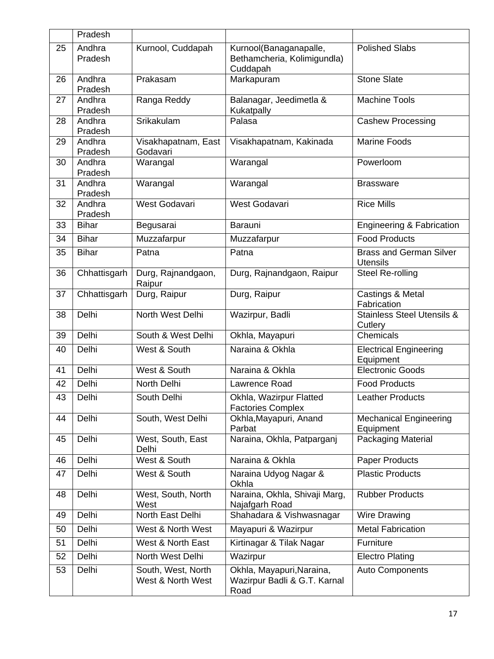|    | Pradesh           |                                         |                                                                   |                                                   |
|----|-------------------|-----------------------------------------|-------------------------------------------------------------------|---------------------------------------------------|
| 25 | Andhra<br>Pradesh | Kurnool, Cuddapah                       | Kurnool(Banaganapalle,<br>Bethamcheria, Kolimigundla)<br>Cuddapah | <b>Polished Slabs</b>                             |
| 26 | Andhra<br>Pradesh | Prakasam                                | Markapuram                                                        | <b>Stone Slate</b>                                |
| 27 | Andhra<br>Pradesh | Ranga Reddy                             | Balanagar, Jeedimetla &<br>Kukatpally                             | Machine Tools                                     |
| 28 | Andhra<br>Pradesh | Srikakulam                              | Palasa                                                            | <b>Cashew Processing</b>                          |
| 29 | Andhra<br>Pradesh | Visakhapatnam, East<br>Godavari         | Visakhapatnam, Kakinada                                           | <b>Marine Foods</b>                               |
| 30 | Andhra<br>Pradesh | Warangal                                | Warangal                                                          | Powerloom                                         |
| 31 | Andhra<br>Pradesh | Warangal                                | Warangal                                                          | <b>Brassware</b>                                  |
| 32 | Andhra<br>Pradesh | West Godavari                           | West Godavari                                                     | <b>Rice Mills</b>                                 |
| 33 | <b>Bihar</b>      | Begusarai                               | <b>Barauni</b>                                                    | <b>Engineering &amp; Fabrication</b>              |
| 34 | <b>Bihar</b>      | Muzzafarpur                             | Muzzafarpur                                                       | <b>Food Products</b>                              |
| 35 | <b>Bihar</b>      | Patna                                   | Patna                                                             | <b>Brass and German Silver</b><br><b>Utensils</b> |
| 36 | Chhattisgarh      | Durg, Rajnandgaon,<br>Raipur            | Durg, Rajnandgaon, Raipur                                         | Steel Re-rolling                                  |
| 37 | Chhattisgarh      | Durg, Raipur                            | Durg, Raipur                                                      | Castings & Metal<br>Fabrication                   |
| 38 | Delhi             | North West Delhi                        | Wazirpur, Badli                                                   | <b>Stainless Steel Utensils &amp;</b><br>Cutlery  |
| 39 | Delhi             | South & West Delhi                      | Okhla, Mayapuri                                                   | Chemicals                                         |
| 40 | Delhi             | West & South                            | Naraina & Okhla                                                   | <b>Electrical Engineering</b><br>Equipment        |
| 41 | Delhi             | West & South                            | Naraina & Okhla                                                   | <b>Electronic Goods</b>                           |
| 42 | Delhi             | North Delhi                             | Lawrence Road                                                     | <b>Food Products</b>                              |
| 43 | Delhi             | South Delhi                             | Okhla, Wazirpur Flatted<br><b>Factories Complex</b>               | <b>Leather Products</b>                           |
| 44 | Delhi             | South, West Delhi                       | Okhla, Mayapuri, Anand<br>Parbat                                  | Mechanical Engineering<br>Equipment               |
| 45 | Delhi             | West, South, East<br>Delhi              | Naraina, Okhla, Patparganj                                        | <b>Packaging Material</b>                         |
| 46 | Delhi             | West & South                            | Naraina & Okhla                                                   | <b>Paper Products</b>                             |
| 47 | Delhi             | West & South                            | Naraina Udyog Nagar &<br>Okhla                                    | <b>Plastic Products</b>                           |
| 48 | Delhi             | West, South, North<br>West              | Naraina, Okhla, Shivaji Marg,<br>Najafgarh Road                   | <b>Rubber Products</b>                            |
| 49 | Delhi             | North East Delhi                        | Shahadara & Vishwasnagar                                          | Wire Drawing                                      |
| 50 | Delhi             | West & North West                       | Mayapuri & Wazirpur                                               | <b>Metal Fabrication</b>                          |
| 51 | Delhi             | West & North East                       | Kirtinagar & Tilak Nagar                                          | Furniture                                         |
| 52 | Delhi             | North West Delhi                        | Wazirpur                                                          | <b>Electro Plating</b>                            |
| 53 | Delhi             | South, West, North<br>West & North West | Okhla, Mayapuri, Naraina,<br>Wazirpur Badli & G.T. Karnal<br>Road | <b>Auto Components</b>                            |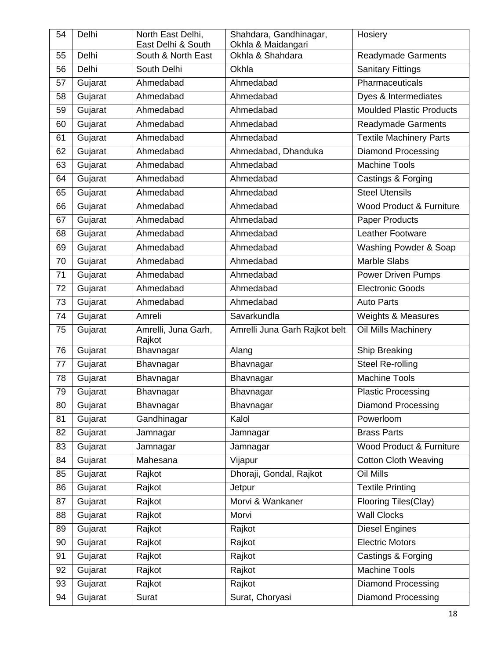| 54 | Delhi   | North East Delhi,                        | Shahdara, Gandhinagar,                 | Hosiery                         |
|----|---------|------------------------------------------|----------------------------------------|---------------------------------|
| 55 | Delhi   | East Delhi & South<br>South & North East | Okhla & Maidangari<br>Okhla & Shahdara | <b>Readymade Garments</b>       |
| 56 | Delhi   | South Delhi                              | Okhla                                  | <b>Sanitary Fittings</b>        |
| 57 | Gujarat | Ahmedabad                                | Ahmedabad                              | Pharmaceuticals                 |
| 58 | Gujarat | Ahmedabad                                | Ahmedabad                              | Dyes & Intermediates            |
| 59 | Gujarat | Ahmedabad                                | Ahmedabad                              | <b>Moulded Plastic Products</b> |
| 60 | Gujarat | Ahmedabad                                | Ahmedabad                              | <b>Readymade Garments</b>       |
| 61 | Gujarat | Ahmedabad                                | Ahmedabad                              | <b>Textile Machinery Parts</b>  |
| 62 | Gujarat | Ahmedabad                                | Ahmedabad, Dhanduka                    | <b>Diamond Processing</b>       |
| 63 | Gujarat | Ahmedabad                                | Ahmedabad                              | <b>Machine Tools</b>            |
| 64 | Gujarat | Ahmedabad                                | Ahmedabad                              | Castings & Forging              |
| 65 | Gujarat | Ahmedabad                                | Ahmedabad                              | <b>Steel Utensils</b>           |
| 66 | Gujarat | Ahmedabad                                | Ahmedabad                              | Wood Product & Furniture        |
| 67 | Gujarat | Ahmedabad                                | Ahmedabad                              | Paper Products                  |
| 68 | Gujarat | Ahmedabad                                | Ahmedabad                              | Leather Footware                |
| 69 | Gujarat | Ahmedabad                                | Ahmedabad                              | Washing Powder & Soap           |
| 70 | Gujarat | Ahmedabad                                | Ahmedabad                              | <b>Marble Slabs</b>             |
| 71 | Gujarat | Ahmedabad                                | Ahmedabad                              | <b>Power Driven Pumps</b>       |
| 72 | Gujarat | Ahmedabad                                | Ahmedabad                              | <b>Electronic Goods</b>         |
| 73 | Gujarat | Ahmedabad                                | Ahmedabad                              | <b>Auto Parts</b>               |
| 74 | Gujarat | Amreli                                   | Savarkundla                            | <b>Weights &amp; Measures</b>   |
| 75 | Gujarat | Amrelli, Juna Garh,<br>Rajkot            | Amrelli Juna Garh Rajkot belt          | Oil Mills Machinery             |
| 76 | Gujarat | Bhavnagar                                | Alang                                  | Ship Breaking                   |
| 77 | Gujarat | Bhavnagar                                | Bhavnagar                              | Steel Re-rolling                |
| 78 | Gujarat | Bhavnagar                                | Bhavnagar                              | <b>Machine Tools</b>            |
| 79 | Gujarat | Bhavnagar                                | Bhavnagar                              | Plastic Processing              |
| 80 | Gujarat | Bhavnagar                                | Bhavnagar                              | <b>Diamond Processing</b>       |
| 81 | Gujarat | Gandhinagar                              | Kalol                                  | Powerloom                       |
| 82 | Gujarat | Jamnagar                                 | Jamnagar                               | <b>Brass Parts</b>              |
| 83 | Gujarat | Jamnagar                                 | Jamnagar                               | Wood Product & Furniture        |
| 84 | Gujarat | Mahesana                                 | Vijapur                                | <b>Cotton Cloth Weaving</b>     |
| 85 | Gujarat | Rajkot                                   | Dhoraji, Gondal, Rajkot                | Oil Mills                       |
| 86 | Gujarat | Rajkot                                   | Jetpur                                 | <b>Textile Printing</b>         |
| 87 | Gujarat | Rajkot                                   | Morvi & Wankaner                       | Flooring Tiles(Clay)            |
| 88 | Gujarat | Rajkot                                   | Morvi                                  | <b>Wall Clocks</b>              |
| 89 | Gujarat | Rajkot                                   | Rajkot                                 | <b>Diesel Engines</b>           |
| 90 | Gujarat | Rajkot                                   | Rajkot                                 | <b>Electric Motors</b>          |
| 91 | Gujarat | Rajkot                                   | Rajkot                                 | Castings & Forging              |
| 92 | Gujarat | Rajkot                                   | Rajkot                                 | <b>Machine Tools</b>            |
| 93 | Gujarat | Rajkot                                   | Rajkot                                 | <b>Diamond Processing</b>       |
| 94 | Gujarat | Surat                                    | Surat, Choryasi                        | <b>Diamond Processing</b>       |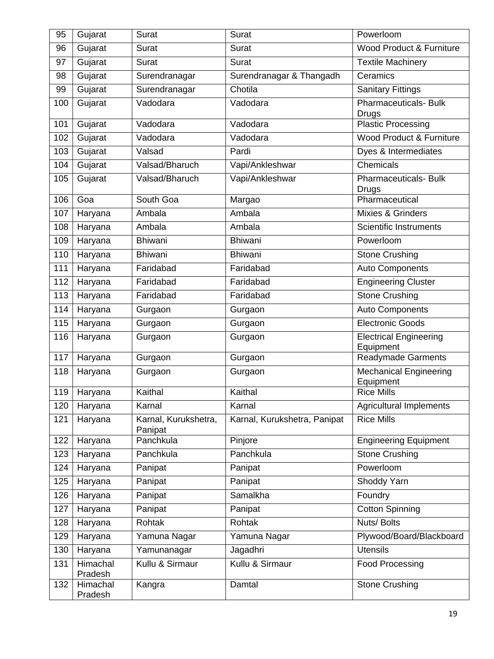| 95  | Gujarat             | Surat                           | Surat                        | Powerloom                                  |
|-----|---------------------|---------------------------------|------------------------------|--------------------------------------------|
| 96  | Gujarat             | Surat                           | Surat                        | Wood Product & Furniture                   |
| 97  | Gujarat             | Surat                           | <b>Surat</b>                 | <b>Textile Machinery</b>                   |
| 98  | Gujarat             | Surendranagar                   | Surendranagar & Thangadh     | Ceramics                                   |
| 99  | Gujarat             | Surendranagar                   | Chotila                      | <b>Sanitary Fittings</b>                   |
| 100 | Gujarat             | Vadodara                        | Vadodara                     | <b>Pharmaceuticals- Bulk</b><br>Drugs      |
| 101 | Gujarat             | Vadodara                        | Vadodara                     | <b>Plastic Processing</b>                  |
| 102 | Gujarat             | Vadodara                        | Vadodara                     | Wood Product & Furniture                   |
| 103 | Gujarat             | Valsad                          | Pardi                        | Dyes & Intermediates                       |
| 104 | Gujarat             | Valsad/Bharuch                  | Vapi/Ankleshwar              | Chemicals                                  |
| 105 | Gujarat             | Valsad/Bharuch                  | Vapi/Ankleshwar              | Pharmaceuticals- Bulk<br>Drugs             |
| 106 | Goa                 | South Goa                       | Margao                       | Pharmaceutical                             |
| 107 | Haryana             | Ambala                          | Ambala                       | Mixies & Grinders                          |
| 108 | Haryana             | Ambala                          | Ambala                       | <b>Scientific Instruments</b>              |
| 109 | Haryana             | <b>Bhiwani</b>                  | <b>Bhiwani</b>               | Powerloom                                  |
| 110 | Haryana             | <b>Bhiwani</b>                  | <b>Bhiwani</b>               | <b>Stone Crushing</b>                      |
| 111 | Haryana             | Faridabad                       | Faridabad                    | <b>Auto Components</b>                     |
| 112 | Haryana             | Faridabad                       | Faridabad                    | <b>Engineering Cluster</b>                 |
| 113 | Haryana             | Faridabad                       | Faridabad                    | <b>Stone Crushing</b>                      |
| 114 | Haryana             | Gurgaon                         | Gurgaon                      | <b>Auto Components</b>                     |
| 115 | Haryana             | Gurgaon                         | Gurgaon                      | <b>Electronic Goods</b>                    |
| 116 | Haryana             | Gurgaon                         | Gurgaon                      | <b>Electrical Engineering</b><br>Equipment |
| 117 | Haryana             | Gurgaon                         | Gurgaon                      | <b>Readymade Garments</b>                  |
| 118 | Haryana             | Gurgaon                         | Gurgaon                      | Mechanical Engineering<br>Equipment        |
|     | 119 Haryana         | Kaithal                         | Kaithal                      | <b>Rice Mills</b>                          |
| 120 | Haryana             | Karnal                          | Karnal                       | <b>Agricultural Implements</b>             |
| 121 | Haryana             | Karnal, Kurukshetra,<br>Panipat | Karnal, Kurukshetra, Panipat | <b>Rice Mills</b>                          |
| 122 | Haryana             | Panchkula                       | Pinjore                      | <b>Engineering Equipment</b>               |
| 123 | Haryana             | Panchkula                       | Panchkula                    | <b>Stone Crushing</b>                      |
| 124 | Haryana             | Panipat                         | Panipat                      | Powerloom                                  |
| 125 | Haryana             | Panipat                         | Panipat                      | Shoddy Yarn                                |
| 126 | Haryana             | Panipat                         | Samalkha                     | Foundry                                    |
| 127 | Haryana             | Panipat                         | Panipat                      | <b>Cotton Spinning</b>                     |
| 128 | Haryana             | Rohtak                          | Rohtak                       | Nuts/ Bolts                                |
| 129 | Haryana             | Yamuna Nagar                    | Yamuna Nagar                 | Plywood/Board/Blackboard                   |
| 130 | Haryana             | Yamunanagar                     | Jagadhri                     | <b>Utensils</b>                            |
| 131 | Himachal<br>Pradesh | Kullu & Sirmaur                 | Kullu & Sirmaur              | <b>Food Processing</b>                     |
| 132 | Himachal<br>Pradesh | Kangra                          | Damtal                       | Stone Crushing                             |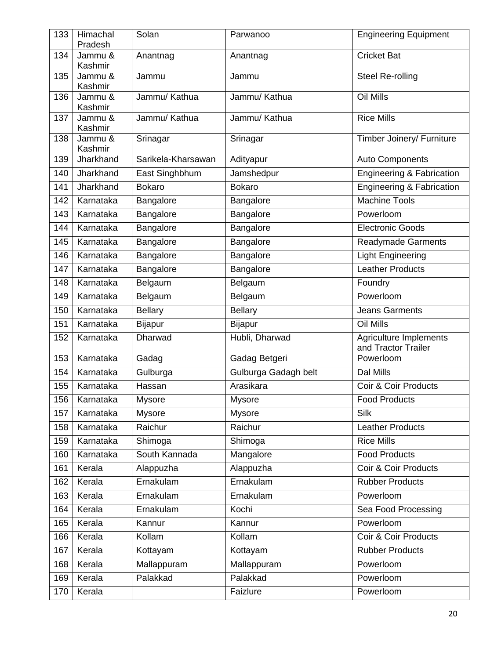| 133 | Himachal<br>Pradesh | Solan              | Parwanoo             | <b>Engineering Equipment</b>                         |
|-----|---------------------|--------------------|----------------------|------------------------------------------------------|
| 134 | Jammu &<br>Kashmir  | Anantnag           | Anantnag             | <b>Cricket Bat</b>                                   |
| 135 | Jammu &<br>Kashmir  | Jammu              | Jammu                | Steel Re-rolling                                     |
| 136 | Jammu &<br>Kashmir  | Jammu/ Kathua      | Jammu/ Kathua        | Oil Mills                                            |
| 137 | Jammu &<br>Kashmir  | Jammu/ Kathua      | Jammu/ Kathua        | <b>Rice Mills</b>                                    |
| 138 | Jammu &<br>Kashmir  | Srinagar           | Srinagar             | Timber Joinery/ Furniture                            |
| 139 | Jharkhand           | Sarikela-Kharsawan | Adityapur            | <b>Auto Components</b>                               |
| 140 | Jharkhand           | East Singhbhum     | Jamshedpur           | <b>Engineering &amp; Fabrication</b>                 |
| 141 | Jharkhand           | <b>Bokaro</b>      | <b>Bokaro</b>        | <b>Engineering &amp; Fabrication</b>                 |
| 142 | Karnataka           | Bangalore          | Bangalore            | <b>Machine Tools</b>                                 |
| 143 | Karnataka           | Bangalore          | Bangalore            | Powerloom                                            |
| 144 | Karnataka           | Bangalore          | Bangalore            | <b>Electronic Goods</b>                              |
| 145 | Karnataka           | Bangalore          | Bangalore            | <b>Readymade Garments</b>                            |
| 146 | Karnataka           | Bangalore          | Bangalore            | <b>Light Engineering</b>                             |
| 147 | Karnataka           | Bangalore          | Bangalore            | <b>Leather Products</b>                              |
| 148 | Karnataka           | Belgaum            | Belgaum              | Foundry                                              |
| 149 | Karnataka           | Belgaum            | Belgaum              | Powerloom                                            |
| 150 | Karnataka           | <b>Bellary</b>     | <b>Bellary</b>       | <b>Jeans Garments</b>                                |
| 151 | Karnataka           | <b>Bijapur</b>     | <b>Bijapur</b>       | Oil Mills                                            |
| 152 | Karnataka           | Dharwad            | Hubli, Dharwad       | <b>Agriculture Implements</b><br>and Tractor Trailer |
| 153 | Karnataka           | Gadag              | Gadag Betgeri        | Powerloom                                            |
| 154 | Karnataka           | Gulburga           | Gulburga Gadagh belt | Dal Mills                                            |
| 155 | Karnataka           | Hassan             | Arasikara            | Coir & Coir Products                                 |
| 156 | Karnataka           | <b>Mysore</b>      | <b>Mysore</b>        | <b>Food Products</b>                                 |
| 157 | Karnataka           | <b>Mysore</b>      | <b>Mysore</b>        | <b>Silk</b>                                          |
| 158 | Karnataka           | Raichur            | Raichur              | <b>Leather Products</b>                              |
| 159 | Karnataka           | Shimoga            | Shimoga              | <b>Rice Mills</b>                                    |
| 160 | Karnataka           | South Kannada      | Mangalore            | <b>Food Products</b>                                 |
| 161 | Kerala              | Alappuzha          | Alappuzha            | Coir & Coir Products                                 |
| 162 | Kerala              | Ernakulam          | Ernakulam            | <b>Rubber Products</b>                               |
| 163 | Kerala              | Ernakulam          | Ernakulam            | Powerloom                                            |
| 164 | Kerala              | Ernakulam          | Kochi                | Sea Food Processing                                  |
| 165 | Kerala              | Kannur             | Kannur               | Powerloom                                            |
| 166 | Kerala              | Kollam             | Kollam               | Coir & Coir Products                                 |
| 167 | Kerala              | Kottayam           | Kottayam             | Rubber Products                                      |
| 168 | Kerala              | Mallappuram        | Mallappuram          | Powerloom                                            |
| 169 | Kerala              | Palakkad           | Palakkad             | Powerloom                                            |
| 170 | Kerala              |                    | Faizlure             | Powerloom                                            |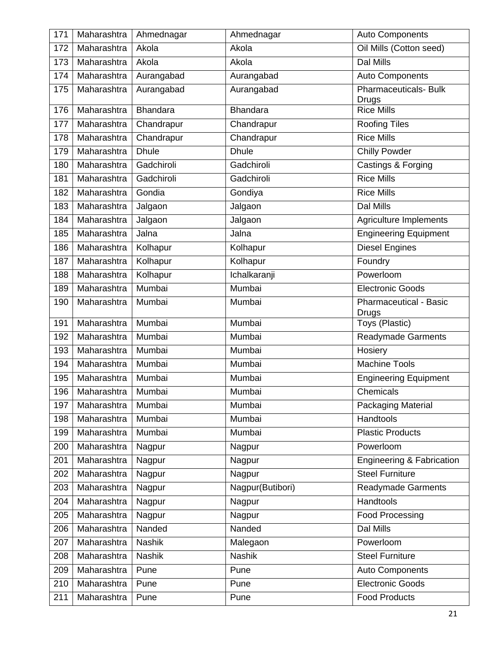| 171 | Maharashtra     | Ahmednagar      | Ahmednagar       | <b>Auto Components</b>                 |
|-----|-----------------|-----------------|------------------|----------------------------------------|
| 172 | Maharashtra     | Akola           | Akola            | Oil Mills (Cotton seed)                |
| 173 | Maharashtra     | Akola           | Akola            | Dal Mills                              |
| 174 | Maharashtra     | Aurangabad      | Aurangabad       | <b>Auto Components</b>                 |
| 175 | Maharashtra     | Aurangabad      | Aurangabad       | <b>Pharmaceuticals- Bulk</b><br>Drugs  |
| 176 | Maharashtra     | <b>Bhandara</b> | <b>Bhandara</b>  | <b>Rice Mills</b>                      |
| 177 | Maharashtra     | Chandrapur      | Chandrapur       | Roofing Tiles                          |
| 178 | Maharashtra     | Chandrapur      | Chandrapur       | <b>Rice Mills</b>                      |
| 179 | Maharashtra     | <b>Dhule</b>    | <b>Dhule</b>     | <b>Chilly Powder</b>                   |
| 180 | Maharashtra     | Gadchiroli      | Gadchiroli       | Castings & Forging                     |
| 181 | Maharashtra     | Gadchiroli      | Gadchiroli       | <b>Rice Mills</b>                      |
| 182 | Maharashtra     | Gondia          | Gondiya          | <b>Rice Mills</b>                      |
| 183 | Maharashtra     | Jalgaon         | Jalgaon          | <b>Dal Mills</b>                       |
| 184 | Maharashtra     | Jalgaon         | Jalgaon          | Agriculture Implements                 |
| 185 | Maharashtra     | Jalna           | Jalna            | <b>Engineering Equipment</b>           |
| 186 | Maharashtra     | Kolhapur        | Kolhapur         | <b>Diesel Engines</b>                  |
| 187 | Maharashtra     | Kolhapur        | Kolhapur         | Foundry                                |
| 188 | Maharashtra     | Kolhapur        | Ichalkaranji     | Powerloom                              |
| 189 | Maharashtra     | Mumbai          | Mumbai           | <b>Electronic Goods</b>                |
| 190 | Maharashtra     | Mumbai          | Mumbai           | <b>Pharmaceutical - Basic</b><br>Drugs |
| 191 | Maharashtra     | Mumbai          | Mumbai           | Toys (Plastic)                         |
| 192 | Maharashtra     | Mumbai          | Mumbai           | <b>Readymade Garments</b>              |
| 193 | Maharashtra     | Mumbai          | Mumbai           | Hosiery                                |
| 194 | Maharashtra     | Mumbai          | Mumbai           | <b>Machine Tools</b>                   |
| 195 | Maharashtra     | Mumbai          | Mumbai           | <b>Engineering Equipment</b>           |
|     | 196 Maharashtra | Mumbai          | Mumbai           | Chemicals                              |
| 197 | Maharashtra     | Mumbai          | Mumbai           | Packaging Material                     |
| 198 | Maharashtra     | Mumbai          | Mumbai           | Handtools                              |
| 199 | Maharashtra     | Mumbai          | Mumbai           | <b>Plastic Products</b>                |
| 200 | Maharashtra     | Nagpur          | Nagpur           | Powerloom                              |
| 201 | Maharashtra     | Nagpur          | Nagpur           | <b>Engineering &amp; Fabrication</b>   |
| 202 | Maharashtra     | Nagpur          | Nagpur           | <b>Steel Furniture</b>                 |
| 203 | Maharashtra     | Nagpur          | Nagpur(Butibori) | <b>Readymade Garments</b>              |
| 204 | Maharashtra     | Nagpur          | Nagpur           | <b>Handtools</b>                       |
| 205 | Maharashtra     | Nagpur          | Nagpur           | Food Processing                        |
| 206 | Maharashtra     | Nanded          | Nanded           | Dal Mills                              |
| 207 | Maharashtra     | <b>Nashik</b>   | Malegaon         | Powerloom                              |
| 208 | Maharashtra     | <b>Nashik</b>   | <b>Nashik</b>    | <b>Steel Furniture</b>                 |
| 209 | Maharashtra     | Pune            | Pune             | <b>Auto Components</b>                 |
| 210 | Maharashtra     | Pune            | Pune             | <b>Electronic Goods</b>                |
| 211 | Maharashtra     | Pune            | Pune             | <b>Food Products</b>                   |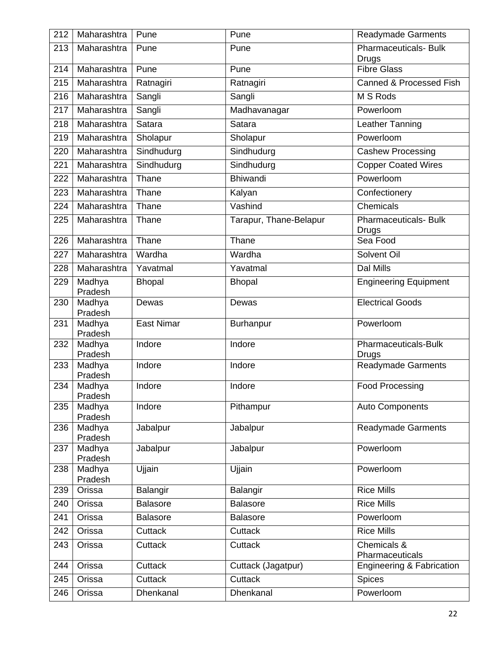| 212 | Maharashtra       | Pune              | Pune                   | <b>Readymade Garments</b>                    |
|-----|-------------------|-------------------|------------------------|----------------------------------------------|
| 213 | Maharashtra       | Pune              | Pune                   | <b>Pharmaceuticals- Bulk</b><br><b>Drugs</b> |
| 214 | Maharashtra       | Pune              | Pune                   | <b>Fibre Glass</b>                           |
| 215 | Maharashtra       | Ratnagiri         | Ratnagiri              | Canned & Processed Fish                      |
| 216 | Maharashtra       | Sangli            | Sangli                 | M S Rods                                     |
| 217 | Maharashtra       | Sangli            | Madhavanagar           | Powerloom                                    |
| 218 | Maharashtra       | Satara            | Satara                 | Leather Tanning                              |
| 219 | Maharashtra       | Sholapur          | Sholapur               | Powerloom                                    |
| 220 | Maharashtra       | Sindhudurg        | Sindhudurg             | <b>Cashew Processing</b>                     |
| 221 | Maharashtra       | Sindhudurg        | Sindhudurg             | <b>Copper Coated Wires</b>                   |
| 222 | Maharashtra       | Thane             | <b>Bhiwandi</b>        | Powerloom                                    |
| 223 | Maharashtra       | Thane             | Kalyan                 | Confectionery                                |
| 224 | Maharashtra       | Thane             | Vashind                | Chemicals                                    |
| 225 | Maharashtra       | Thane             | Tarapur, Thane-Belapur | <b>Pharmaceuticals- Bulk</b><br>Drugs        |
| 226 | Maharashtra       | Thane             | Thane                  | Sea Food                                     |
| 227 | Maharashtra       | Wardha            | Wardha                 | Solvent Oil                                  |
| 228 | Maharashtra       | Yavatmal          | Yavatmal               | Dal Mills                                    |
| 229 | Madhya<br>Pradesh | <b>Bhopal</b>     | <b>Bhopal</b>          | <b>Engineering Equipment</b>                 |
| 230 | Madhya<br>Pradesh | Dewas             | Dewas                  | <b>Electrical Goods</b>                      |
| 231 | Madhya<br>Pradesh | <b>East Nimar</b> | <b>Burhanpur</b>       | Powerloom                                    |
| 232 | Madhya<br>Pradesh | Indore            | Indore                 | Pharmaceuticals-Bulk<br><b>Drugs</b>         |
| 233 | Madhya<br>Pradesh | Indore            | Indore                 | <b>Readymade Garments</b>                    |
| 234 | Madhya<br>Pradesh | Indore            | Indore                 | <b>Food Processing</b>                       |
| 235 | Madhya<br>Pradesh | Indore            | Pithampur              | <b>Auto Components</b>                       |
| 236 | Madhya<br>Pradesh | Jabalpur          | Jabalpur               | <b>Readymade Garments</b>                    |
| 237 | Madhya<br>Pradesh | Jabalpur          | Jabalpur               | Powerloom                                    |
| 238 | Madhya<br>Pradesh | Ujjain            | Ujjain                 | Powerloom                                    |
| 239 | Orissa            | Balangir          | Balangir               | <b>Rice Mills</b>                            |
| 240 | Orissa            | <b>Balasore</b>   | Balasore               | <b>Rice Mills</b>                            |
| 241 | Orissa            | <b>Balasore</b>   | Balasore               | Powerloom                                    |
| 242 | Orissa            | Cuttack           | Cuttack                | <b>Rice Mills</b>                            |
| 243 | Orissa            | Cuttack           | Cuttack                | Chemicals &<br>Pharmaceuticals               |
| 244 | Orissa            | Cuttack           | Cuttack (Jagatpur)     | Engineering & Fabrication                    |
| 245 | Orissa            | Cuttack           | <b>Cuttack</b>         | <b>Spices</b>                                |
| 246 | Orissa            | Dhenkanal         | Dhenkanal              | Powerloom                                    |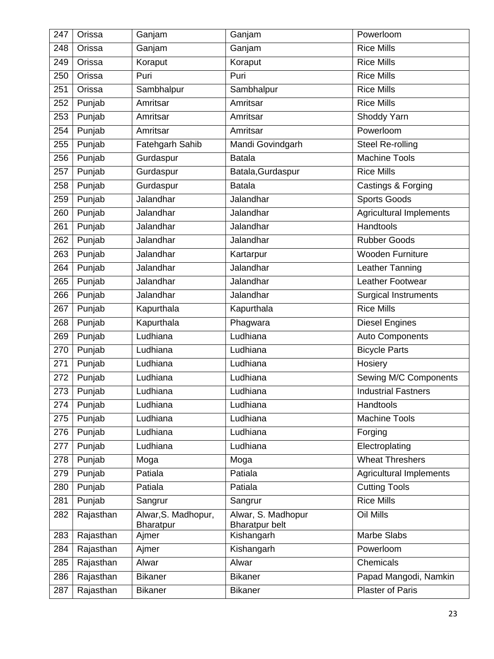| 247 | Orissa    | Ganjam                           | Ganjam                                      | Powerloom                      |
|-----|-----------|----------------------------------|---------------------------------------------|--------------------------------|
| 248 | Orissa    | Ganjam                           | Ganjam                                      | <b>Rice Mills</b>              |
| 249 | Orissa    | Koraput                          | Koraput                                     | <b>Rice Mills</b>              |
| 250 | Orissa    | Puri                             | Puri                                        | <b>Rice Mills</b>              |
| 251 | Orissa    | Sambhalpur                       | Sambhalpur                                  | <b>Rice Mills</b>              |
| 252 | Punjab    | Amritsar                         | Amritsar                                    | <b>Rice Mills</b>              |
| 253 | Punjab    | Amritsar                         | Amritsar                                    | Shoddy Yarn                    |
| 254 | Punjab    | Amritsar                         | Amritsar                                    | Powerloom                      |
| 255 | Punjab    | Fatehgarh Sahib                  | Mandi Govindgarh                            | Steel Re-rolling               |
| 256 | Punjab    | Gurdaspur                        | <b>Batala</b>                               | <b>Machine Tools</b>           |
| 257 | Punjab    | Gurdaspur                        | Batala, Gurdaspur                           | <b>Rice Mills</b>              |
| 258 | Punjab    | Gurdaspur                        | <b>Batala</b>                               | Castings & Forging             |
| 259 | Punjab    | Jalandhar                        | Jalandhar                                   | <b>Sports Goods</b>            |
| 260 | Punjab    | Jalandhar                        | Jalandhar                                   | <b>Agricultural Implements</b> |
| 261 | Punjab    | Jalandhar                        | Jalandhar                                   | Handtools                      |
| 262 | Punjab    | Jalandhar                        | Jalandhar                                   | <b>Rubber Goods</b>            |
| 263 | Punjab    | Jalandhar                        | Kartarpur                                   | Wooden Furniture               |
| 264 | Punjab    | Jalandhar                        | Jalandhar                                   | Leather Tanning                |
| 265 | Punjab    | Jalandhar                        | Jalandhar                                   | Leather Footwear               |
| 266 | Punjab    | Jalandhar                        | Jalandhar                                   | <b>Surgical Instruments</b>    |
| 267 | Punjab    | Kapurthala                       | Kapurthala                                  | <b>Rice Mills</b>              |
| 268 | Punjab    | Kapurthala                       | Phagwara                                    | Diesel Engines                 |
| 269 | Punjab    | Ludhiana                         | Ludhiana                                    | <b>Auto Components</b>         |
| 270 | Punjab    | Ludhiana                         | Ludhiana                                    | <b>Bicycle Parts</b>           |
| 271 | Punjab    | Ludhiana                         | Ludhiana                                    | Hosiery                        |
| 272 | Punjab    | Ludhiana                         | Ludhiana                                    | Sewing M/C Components          |
| 273 | Punjab    | Ludhiana                         | Ludhiana                                    | <b>Industrial Fastners</b>     |
| 274 | Punjab    | Ludhiana                         | Ludhiana                                    | Handtools                      |
| 275 | Punjab    | Ludhiana                         | Ludhiana                                    | <b>Machine Tools</b>           |
| 276 | Punjab    | Ludhiana                         | Ludhiana                                    | Forging                        |
| 277 | Punjab    | Ludhiana                         | Ludhiana                                    | Electroplating                 |
| 278 | Punjab    | Moga                             | Moga                                        | <b>Wheat Threshers</b>         |
| 279 | Punjab    | Patiala                          | Patiala                                     | <b>Agricultural Implements</b> |
| 280 | Punjab    | Patiala                          | Patiala                                     | <b>Cutting Tools</b>           |
| 281 | Punjab    | Sangrur                          | Sangrur                                     | <b>Rice Mills</b>              |
| 282 | Rajasthan | Alwar, S. Madhopur,<br>Bharatpur | Alwar, S. Madhopur<br><b>Bharatpur belt</b> | Oil Mills                      |
| 283 | Rajasthan | Ajmer                            | Kishangarh                                  | Marbe Slabs                    |
| 284 | Rajasthan | Ajmer                            | Kishangarh                                  | Powerloom                      |
| 285 | Rajasthan | Alwar                            | Alwar                                       | Chemicals                      |
| 286 | Rajasthan | <b>Bikaner</b>                   | <b>Bikaner</b>                              | Papad Mangodi, Namkin          |
| 287 | Rajasthan | <b>Bikaner</b>                   | <b>Bikaner</b>                              | <b>Plaster of Paris</b>        |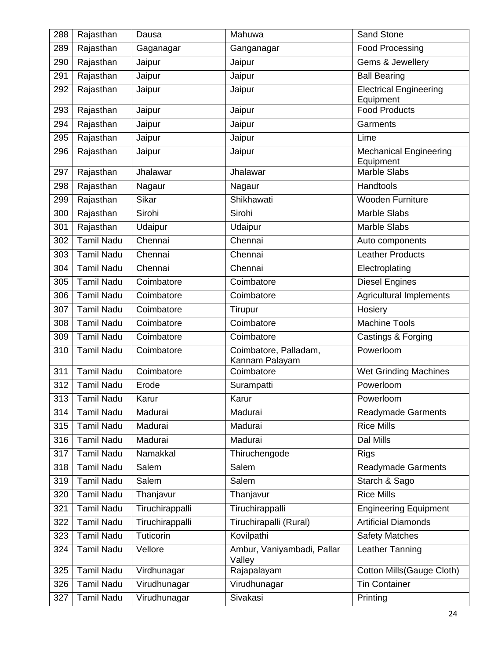| 288 | Rajasthan         | Dausa           | Mahuwa                                  | Sand Stone                                 |
|-----|-------------------|-----------------|-----------------------------------------|--------------------------------------------|
| 289 | Rajasthan         | Gaganagar       | Ganganagar                              | <b>Food Processing</b>                     |
| 290 | Rajasthan         | Jaipur          | Jaipur                                  | Gems & Jewellery                           |
| 291 | Rajasthan         | Jaipur          | Jaipur                                  | <b>Ball Bearing</b>                        |
| 292 | Rajasthan         | Jaipur          | Jaipur                                  | <b>Electrical Engineering</b><br>Equipment |
| 293 | Rajasthan         | Jaipur          | Jaipur                                  | <b>Food Products</b>                       |
| 294 | Rajasthan         | Jaipur          | Jaipur                                  | Garments                                   |
| 295 | Rajasthan         | Jaipur          | Jaipur                                  | Lime                                       |
| 296 | Rajasthan         | Jaipur          | Jaipur                                  | <b>Mechanical Engineering</b><br>Equipment |
| 297 | Rajasthan         | Jhalawar        | Jhalawar                                | <b>Marble Slabs</b>                        |
| 298 | Rajasthan         | Nagaur          | Nagaur                                  | Handtools                                  |
| 299 | Rajasthan         | Sikar           | Shikhawati                              | <b>Wooden Furniture</b>                    |
| 300 | Rajasthan         | Sirohi          | Sirohi                                  | <b>Marble Slabs</b>                        |
| 301 | Rajasthan         | Udaipur         | Udaipur                                 | Marble Slabs                               |
| 302 | <b>Tamil Nadu</b> | Chennai         | Chennai                                 | Auto components                            |
| 303 | <b>Tamil Nadu</b> | Chennai         | Chennai                                 | <b>Leather Products</b>                    |
| 304 | <b>Tamil Nadu</b> | Chennai         | Chennai                                 | Electroplating                             |
| 305 | <b>Tamil Nadu</b> | Coimbatore      | Coimbatore                              | <b>Diesel Engines</b>                      |
| 306 | <b>Tamil Nadu</b> | Coimbatore      | Coimbatore                              | <b>Agricultural Implements</b>             |
| 307 | <b>Tamil Nadu</b> | Coimbatore      | Tirupur                                 | Hosiery                                    |
| 308 | <b>Tamil Nadu</b> | Coimbatore      | Coimbatore                              | <b>Machine Tools</b>                       |
| 309 | <b>Tamil Nadu</b> | Coimbatore      | Coimbatore                              | Castings & Forging                         |
| 310 | <b>Tamil Nadu</b> | Coimbatore      | Coimbatore, Palladam,<br>Kannam Palayam | Powerloom                                  |
| 311 | <b>Tamil Nadu</b> | Coimbatore      | Coimbatore                              | <b>Wet Grinding Machines</b>               |
| 312 | <b>Tamil Nadu</b> | Erode           | Surampatti                              | Powerloom                                  |
| 313 | <b>Tamil Nadu</b> | Karur           | Karur                                   | Powerloom                                  |
| 314 | <b>Tamil Nadu</b> | Madurai         | Madurai                                 | <b>Readymade Garments</b>                  |
| 315 | <b>Tamil Nadu</b> | Madurai         | Madurai                                 | <b>Rice Mills</b>                          |
| 316 | <b>Tamil Nadu</b> | Madurai         | Madurai                                 | <b>Dal Mills</b>                           |
| 317 | <b>Tamil Nadu</b> | Namakkal        | Thiruchengode                           | <b>Rigs</b>                                |
| 318 | <b>Tamil Nadu</b> | Salem           | Salem                                   | <b>Readymade Garments</b>                  |
| 319 | <b>Tamil Nadu</b> | Salem           | Salem                                   | Starch & Sago                              |
| 320 | <b>Tamil Nadu</b> | Thanjavur       | Thanjavur                               | <b>Rice Mills</b>                          |
| 321 | <b>Tamil Nadu</b> | Tiruchirappalli | Tiruchirappalli                         | <b>Engineering Equipment</b>               |
| 322 | <b>Tamil Nadu</b> | Tiruchirappalli | Tiruchirapalli (Rural)                  | <b>Artificial Diamonds</b>                 |
| 323 | <b>Tamil Nadu</b> | Tuticorin       | Kovilpathi                              | <b>Safety Matches</b>                      |
| 324 | <b>Tamil Nadu</b> | Vellore         | Ambur, Vaniyambadi, Pallar<br>Valley    | Leather Tanning                            |
| 325 | <b>Tamil Nadu</b> | Virdhunagar     | Rajapalayam                             | Cotton Mills(Gauge Cloth)                  |
| 326 | <b>Tamil Nadu</b> | Virudhunagar    | Virudhunagar                            | <b>Tin Container</b>                       |
| 327 | <b>Tamil Nadu</b> | Virudhunagar    | Sivakasi                                | Printing                                   |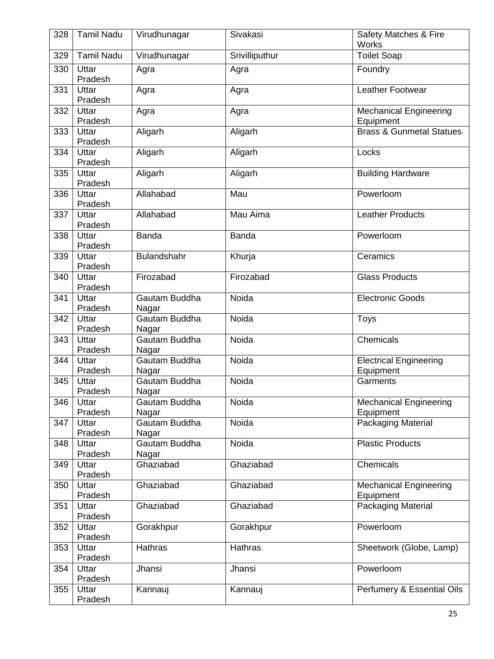| 328 | <b>Tamil Nadu</b> | Virudhunagar           | Sivakasi       | Safety Matches & Fire<br><b>Works</b>      |
|-----|-------------------|------------------------|----------------|--------------------------------------------|
| 329 | <b>Tamil Nadu</b> | Virudhunagar           | Srivilliputhur | <b>Toilet Soap</b>                         |
| 330 | Uttar<br>Pradesh  | Agra                   | Agra           | Foundry                                    |
| 331 | Uttar<br>Pradesh  | Agra                   | Agra           | Leather Footwear                           |
| 332 | Uttar<br>Pradesh  | Agra                   | Agra           | <b>Mechanical Engineering</b><br>Equipment |
| 333 | Uttar<br>Pradesh  | Aligarh                | Aligarh        | <b>Brass &amp; Gunmetal Statues</b>        |
| 334 | Uttar<br>Pradesh  | Aligarh                | Aligarh        | Locks                                      |
| 335 | Uttar<br>Pradesh  | Aligarh                | Aligarh        | <b>Building Hardware</b>                   |
| 336 | Uttar<br>Pradesh  | Allahabad              | Mau            | Powerloom                                  |
| 337 | Uttar<br>Pradesh  | Allahabad              | Mau Aima       | <b>Leather Products</b>                    |
| 338 | Uttar<br>Pradesh  | <b>Banda</b>           | <b>Banda</b>   | Powerloom                                  |
| 339 | Uttar<br>Pradesh  | Bulandshahr            | Khurja         | Ceramics                                   |
| 340 | Uttar<br>Pradesh  | Firozabad              | Firozabad      | <b>Glass Products</b>                      |
| 341 | Uttar<br>Pradesh  | Gautam Buddha<br>Nagar | Noida          | <b>Electronic Goods</b>                    |
| 342 | Uttar<br>Pradesh  | Gautam Buddha<br>Nagar | Noida          | Toys                                       |
| 343 | Uttar<br>Pradesh  | Gautam Buddha<br>Nagar | Noida          | Chemicals                                  |
| 344 | Uttar<br>Pradesh  | Gautam Buddha<br>Nagar | Noida          | <b>Electrical Engineering</b><br>Equipment |
| 345 | Uttar<br>Pradesh  | Gautam Buddha<br>Nagar | Noida          | Garments                                   |
| 346 | Uttar<br>Pradesh  | Gautam Buddha<br>Nagar | Noida          | <b>Mechanical Engineering</b><br>Equipment |
| 347 | Uttar<br>Pradesh  | Gautam Buddha<br>Nagar | Noida          | Packaging Material                         |
| 348 | Uttar<br>Pradesh  | Gautam Buddha<br>Nagar | Noida          | <b>Plastic Products</b>                    |
| 349 | Uttar<br>Pradesh  | Ghaziabad              | Ghaziabad      | Chemicals                                  |
| 350 | Uttar<br>Pradesh  | Ghaziabad              | Ghaziabad      | <b>Mechanical Engineering</b><br>Equipment |
| 351 | Uttar<br>Pradesh  | Ghaziabad              | Ghaziabad      | Packaging Material                         |
| 352 | Uttar<br>Pradesh  | Gorakhpur              | Gorakhpur      | Powerloom                                  |
| 353 | Uttar<br>Pradesh  | Hathras                | Hathras        | Sheetwork (Globe, Lamp)                    |
| 354 | Uttar<br>Pradesh  | Jhansi                 | Jhansi         | Powerloom                                  |
| 355 | Uttar<br>Pradesh  | Kannauj                | Kannauj        | Perfumery & Essential Oils                 |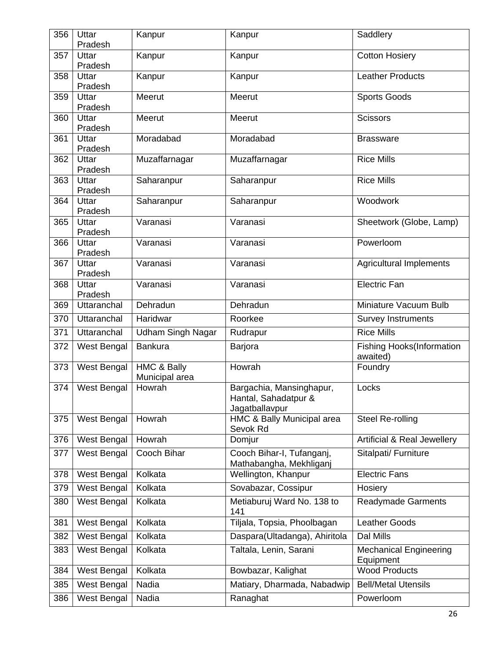| 356 | Uttar<br>Pradesh   | Kanpur                        | Kanpur                                                             | Saddlery                                     |
|-----|--------------------|-------------------------------|--------------------------------------------------------------------|----------------------------------------------|
| 357 | Uttar<br>Pradesh   | Kanpur                        | Kanpur                                                             | <b>Cotton Hosiery</b>                        |
| 358 | Uttar<br>Pradesh   | Kanpur                        | Kanpur                                                             | <b>Leather Products</b>                      |
| 359 | Uttar<br>Pradesh   | Meerut                        | Meerut                                                             | <b>Sports Goods</b>                          |
| 360 | Uttar<br>Pradesh   | Meerut                        | Meerut                                                             | <b>Scissors</b>                              |
| 361 | Uttar<br>Pradesh   | Moradabad                     | Moradabad                                                          | <b>Brassware</b>                             |
| 362 | Uttar<br>Pradesh   | Muzaffarnagar                 | Muzaffarnagar                                                      | <b>Rice Mills</b>                            |
| 363 | Uttar<br>Pradesh   | Saharanpur                    | Saharanpur                                                         | <b>Rice Mills</b>                            |
| 364 | Uttar<br>Pradesh   | Saharanpur                    | Saharanpur                                                         | Woodwork                                     |
| 365 | Uttar<br>Pradesh   | Varanasi                      | Varanasi                                                           | Sheetwork (Globe, Lamp)                      |
| 366 | Uttar<br>Pradesh   | Varanasi                      | Varanasi                                                           | Powerloom                                    |
| 367 | Uttar<br>Pradesh   | Varanasi                      | Varanasi                                                           | <b>Agricultural Implements</b>               |
| 368 | Uttar<br>Pradesh   | Varanasi                      | Varanasi                                                           | <b>Electric Fan</b>                          |
| 369 | Uttaranchal        | Dehradun                      | Dehradun                                                           | Miniature Vacuum Bulb                        |
| 370 | Uttaranchal        | Haridwar                      | Roorkee                                                            | <b>Survey Instruments</b>                    |
| 371 | Uttaranchal        | <b>Udham Singh Nagar</b>      | Rudrapur                                                           | <b>Rice Mills</b>                            |
| 372 | West Bengal        | <b>Bankura</b>                | Barjora                                                            | <b>Fishing Hooks(Information</b><br>awaited) |
| 373 | West Bengal        | HMC & Bally<br>Municipal area | Howrah                                                             | Foundry                                      |
|     | 374   West Bengal  | Howrah                        | Bargachia, Mansinghapur,<br>Hantal, Sahadatpur &<br>Jagatballavpur | Locks                                        |
| 375 | <b>West Bengal</b> | Howrah                        | HMC & Bally Municipal area<br>Sevok Rd                             | Steel Re-rolling                             |
| 376 | West Bengal        | Howrah                        | Domjur                                                             | <b>Artificial &amp; Real Jewellery</b>       |
| 377 | West Bengal        | Cooch Bihar                   | Cooch Bihar-I, Tufanganj,<br>Mathabangha, Mekhliganj               | Sitalpati/ Furniture                         |
| 378 | West Bengal        | Kolkata                       | Wellington, Khanpur                                                | <b>Electric Fans</b>                         |
| 379 | West Bengal        | Kolkata                       | Sovabazar, Cossipur                                                | Hosiery                                      |
| 380 | West Bengal        | Kolkata                       | Metiaburuj Ward No. 138 to<br>141                                  | <b>Readymade Garments</b>                    |
| 381 | West Bengal        | Kolkata                       | Tiljala, Topsia, Phoolbagan                                        | <b>Leather Goods</b>                         |
| 382 | West Bengal        | Kolkata                       | Daspara(Ultadanga), Ahiritola                                      | Dal Mills                                    |
| 383 | West Bengal        | Kolkata                       | Taltala, Lenin, Sarani                                             | <b>Mechanical Engineering</b><br>Equipment   |
| 384 | West Bengal        | Kolkata                       | Bowbazar, Kalighat                                                 | <b>Wood Products</b>                         |
| 385 | West Bengal        | Nadia                         | Matiary, Dharmada, Nabadwip                                        | <b>Bell/Metal Utensils</b>                   |
| 386 | West Bengal        | Nadia                         | Ranaghat                                                           | Powerloom                                    |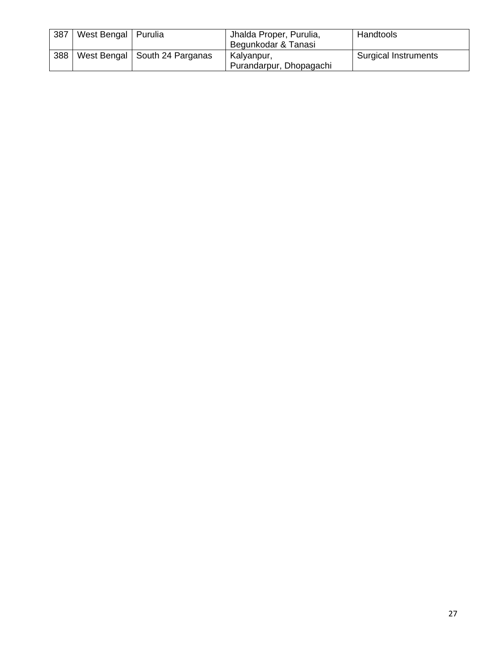| 387 | West Bengal   Purulia |                                 | Jhalda Proper, Purulia, | Handtools                   |
|-----|-----------------------|---------------------------------|-------------------------|-----------------------------|
|     |                       |                                 | Begunkodar & Tanasi     |                             |
| 388 |                       | West Bengal   South 24 Parganas | Kalyanpur,              | <b>Surgical Instruments</b> |
|     |                       |                                 | Purandarpur, Dhopagachi |                             |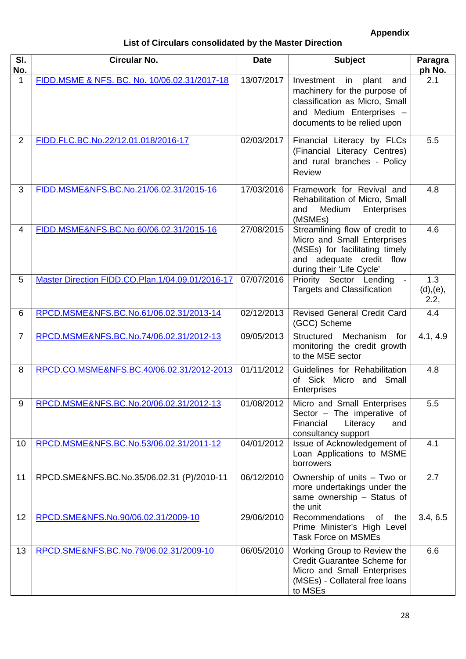# **Appendix**

# **List of Circulars consolidated by the Master Direction**

<span id="page-28-0"></span>

| SI.<br>No.     | <b>Circular No.</b>                              | <b>Date</b> | <b>Subject</b>                                                                                                                                                | Paragra<br>ph No.        |
|----------------|--------------------------------------------------|-------------|---------------------------------------------------------------------------------------------------------------------------------------------------------------|--------------------------|
| 1              | FIDD.MSME & NFS. BC. No. 10/06.02.31/2017-18     | 13/07/2017  | Investment<br>in<br>plant<br>and<br>machinery for the purpose of<br>classification as Micro, Small<br>and Medium Enterprises -<br>documents to be relied upon | 2.1                      |
| $\overline{2}$ | FIDD.FLC.BC.No.22/12.01.018/2016-17              | 02/03/2017  | Financial Literacy by FLCs<br>(Financial Literacy Centres)<br>and rural branches - Policy<br>Review                                                           | 5.5                      |
| 3              | FIDD.MSME&NFS.BC.No.21/06.02.31/2015-16          | 17/03/2016  | Framework for Revival and<br>Rehabilitation of Micro, Small<br>Enterprises<br>Medium<br>and<br>(MSMEs)                                                        | 4.8                      |
| 4              | FIDD.MSME&NFS.BC.No.60/06.02.31/2015-16          | 27/08/2015  | Streamlining flow of credit to<br>Micro and Small Enterprises<br>(MSEs) for facilitating timely<br>and adequate credit flow<br>during their 'Life Cycle'      | 4.6                      |
| 5              | Master Direction FIDD.CO.Plan.1/04.09.01/2016-17 | 07/07/2016  | Priority Sector Lending<br><b>Targets and Classification</b>                                                                                                  | 1.3<br>(d), (e),<br>2.2, |
| 6              | RPCD.MSME&NFS.BC.No.61/06.02.31/2013-14          | 02/12/2013  | <b>Revised General Credit Card</b><br>(GCC) Scheme                                                                                                            | 4.4                      |
| $\overline{7}$ | RPCD.MSME&NFS.BC.No.74/06.02.31/2012-13          | 09/05/2013  | Mechanism<br>for<br>Structured<br>monitoring the credit growth<br>to the MSE sector                                                                           | 4.1, 4.9                 |
| 8              | RPCD.CO.MSME&NFS.BC.40/06.02.31/2012-2013        | 01/11/2012  | Guidelines for Rehabilitation<br>of Sick Micro and Small<br>Enterprises                                                                                       | 4.8                      |
| 9              | RPCD.MSME&NFS.BC.No.20/06.02.31/2012-13          | 01/08/2012  | Micro and Small Enterprises<br>Sector - The imperative of<br>Financial<br>Literacy<br>and<br>consultancy support                                              | 5.5                      |
| 10             | RPCD.MSME&NFS.BC.No.53/06.02.31/2011-12          | 04/01/2012  | Issue of Acknowledgement of<br>Loan Applications to MSME<br>borrowers                                                                                         | 4.1                      |
| 11             | RPCD.SME&NFS.BC.No.35/06.02.31 (P)/2010-11       | 06/12/2010  | Ownership of units - Two or<br>more undertakings under the<br>same ownership - Status of<br>the unit                                                          | 2.7                      |
| 12             | RPCD.SME&NFS.No.90/06.02.31/2009-10              | 29/06/2010  | <b>Recommendations</b><br>of<br>the<br>Prime Minister's High Level<br><b>Task Force on MSMEs</b>                                                              | 3.4, 6.5                 |
| 13             | RPCD.SME&NFS.BC.No.79/06.02.31/2009-10           | 06/05/2010  | Working Group to Review the<br><b>Credit Guarantee Scheme for</b><br>Micro and Small Enterprises<br>(MSEs) - Collateral free loans<br>to MSEs                 | 6.6                      |